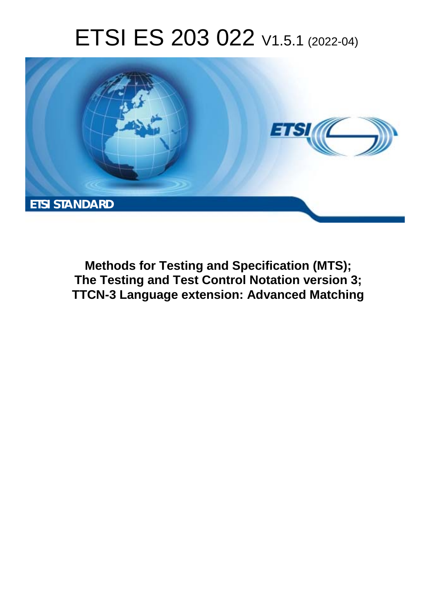# ETSI ES 203 022 V1.5.1 (2022-04)



**Methods for Testing and Specification (MTS); The Testing and Test Control Notation version 3; TTCN-3 Language extension: Advanced Matching**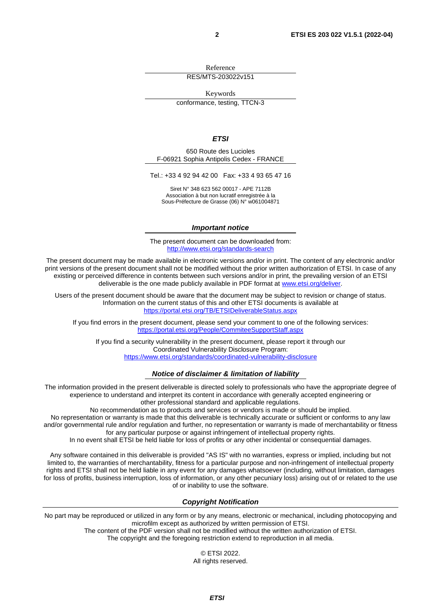Reference

RES/MTS-203022v151

Keywords

conformance, testing, TTCN-3

### *ETSI*

650 Route des Lucioles F-06921 Sophia Antipolis Cedex - FRANCE

Tel.: +33 4 92 94 42 00 Fax: +33 4 93 65 47 16

Siret N° 348 623 562 00017 - APE 7112B Association à but non lucratif enregistrée à la Sous-Préfecture de Grasse (06) N° w061004871

#### *Important notice*

The present document can be downloaded from: <http://www.etsi.org/standards-search>

The present document may be made available in electronic versions and/or in print. The content of any electronic and/or print versions of the present document shall not be modified without the prior written authorization of ETSI. In case of any existing or perceived difference in contents between such versions and/or in print, the prevailing version of an ETSI deliverable is the one made publicly available in PDF format at [www.etsi.org/deliver](http://www.etsi.org/deliver).

Users of the present document should be aware that the document may be subject to revision or change of status. Information on the current status of this and other ETSI documents is available at <https://portal.etsi.org/TB/ETSIDeliverableStatus.aspx>

If you find errors in the present document, please send your comment to one of the following services: <https://portal.etsi.org/People/CommiteeSupportStaff.aspx>

If you find a security vulnerability in the present document, please report it through our Coordinated Vulnerability Disclosure Program: <https://www.etsi.org/standards/coordinated-vulnerability-disclosure>

### *Notice of disclaimer & limitation of liability*

The information provided in the present deliverable is directed solely to professionals who have the appropriate degree of experience to understand and interpret its content in accordance with generally accepted engineering or other professional standard and applicable regulations.

No recommendation as to products and services or vendors is made or should be implied.

No representation or warranty is made that this deliverable is technically accurate or sufficient or conforms to any law and/or governmental rule and/or regulation and further, no representation or warranty is made of merchantability or fitness for any particular purpose or against infringement of intellectual property rights.

In no event shall ETSI be held liable for loss of profits or any other incidental or consequential damages.

Any software contained in this deliverable is provided "AS IS" with no warranties, express or implied, including but not limited to, the warranties of merchantability, fitness for a particular purpose and non-infringement of intellectual property rights and ETSI shall not be held liable in any event for any damages whatsoever (including, without limitation, damages for loss of profits, business interruption, loss of information, or any other pecuniary loss) arising out of or related to the use of or inability to use the software.

#### *Copyright Notification*

No part may be reproduced or utilized in any form or by any means, electronic or mechanical, including photocopying and microfilm except as authorized by written permission of ETSI.

> The content of the PDF version shall not be modified without the written authorization of ETSI. The copyright and the foregoing restriction extend to reproduction in all media.

© ETSI 2022. All rights reserved.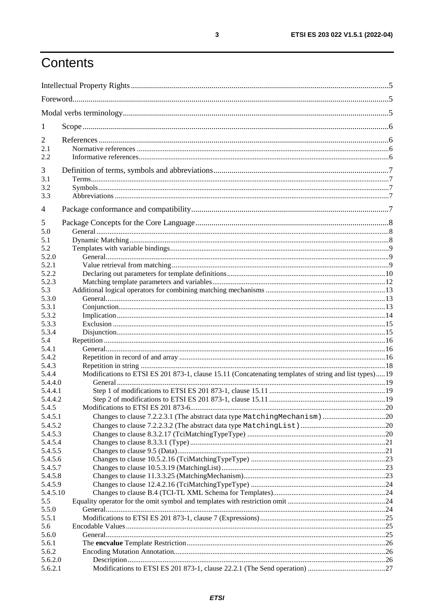## Contents

| 1                   |                                                                                                        |  |  |
|---------------------|--------------------------------------------------------------------------------------------------------|--|--|
| 2                   |                                                                                                        |  |  |
| 2.1                 |                                                                                                        |  |  |
| 2.2                 |                                                                                                        |  |  |
| 3                   |                                                                                                        |  |  |
| 3.1                 |                                                                                                        |  |  |
| 3.2<br>3.3          |                                                                                                        |  |  |
|                     |                                                                                                        |  |  |
| 4                   |                                                                                                        |  |  |
| 5<br>5.0            |                                                                                                        |  |  |
| 5.1                 |                                                                                                        |  |  |
| 5.2                 |                                                                                                        |  |  |
| 5.2.0               |                                                                                                        |  |  |
| 5.2.1               |                                                                                                        |  |  |
| 5.2.2               |                                                                                                        |  |  |
| 5.2.3<br>5.3        |                                                                                                        |  |  |
| 5.3.0               |                                                                                                        |  |  |
| 5.3.1               |                                                                                                        |  |  |
| 5.3.2               |                                                                                                        |  |  |
| 5.3.3               |                                                                                                        |  |  |
| 5.3.4               |                                                                                                        |  |  |
| 5.4<br>5.4.1        |                                                                                                        |  |  |
| 5.4.2               |                                                                                                        |  |  |
| 5.4.3               |                                                                                                        |  |  |
| 5.4.4               | Modifications to ETSI ES 201 873-1, clause 15.11 (Concatenating templates of string and list types) 19 |  |  |
| 5.4.4.0             |                                                                                                        |  |  |
| 5.4.4.1             |                                                                                                        |  |  |
| 5.4.4.2             |                                                                                                        |  |  |
| 5.4.5               |                                                                                                        |  |  |
| 5.4.5.1<br>5.4.5.2  |                                                                                                        |  |  |
| 5.4.5.3             |                                                                                                        |  |  |
| 5.4.5.4             |                                                                                                        |  |  |
| 5.4.5.5             |                                                                                                        |  |  |
| 5.4.5.6             |                                                                                                        |  |  |
| 5.4.5.7             |                                                                                                        |  |  |
| 5.4.5.8             |                                                                                                        |  |  |
| 5.4.5.9<br>5.4.5.10 |                                                                                                        |  |  |
| 5.5                 |                                                                                                        |  |  |
| 5.5.0               |                                                                                                        |  |  |
| 5.5.1               |                                                                                                        |  |  |
| 5.6                 |                                                                                                        |  |  |
| 5.6.0               |                                                                                                        |  |  |
| 5.6.1               |                                                                                                        |  |  |
| 5.6.2<br>5.6.2.0    |                                                                                                        |  |  |
| 5.6.2.1             |                                                                                                        |  |  |
|                     |                                                                                                        |  |  |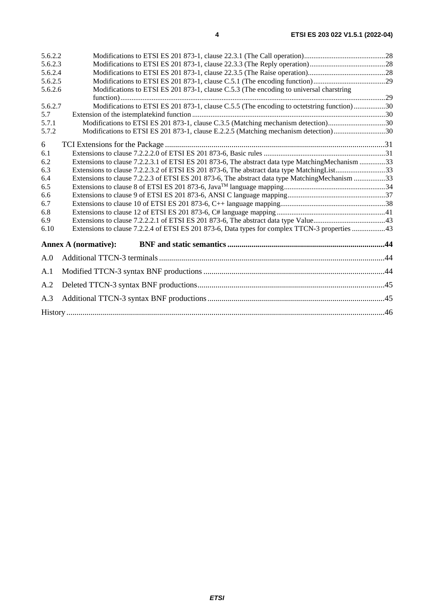| 5.6.2.2 |                                                                                                   |  |
|---------|---------------------------------------------------------------------------------------------------|--|
| 5.6.2.3 |                                                                                                   |  |
| 5.6.2.4 |                                                                                                   |  |
| 5.6.2.5 |                                                                                                   |  |
| 5.6.2.6 | Modifications to ETSI ES 201 873-1, clause C.5.3 (The encoding to universal charactring           |  |
|         |                                                                                                   |  |
| 5.6.2.7 | Modifications to ETSI ES 201 873-1, clause C.5.5 (The encoding to octetstring function)30         |  |
| 5.7     |                                                                                                   |  |
| 5.7.1   | Modifications to ETSI ES 201 873-1, clause C.3.5 (Matching mechanism detection)30                 |  |
| 5.7.2   | Modifications to ETSI ES 201 873-1, clause E.2.2.5 (Matching mechanism detection)30               |  |
| 6       |                                                                                                   |  |
| 6.1     |                                                                                                   |  |
| 6.2     | Extensions to clause 7.2.2.3.1 of ETSI ES 201 873-6, The abstract data type Matching Mechanism 33 |  |
| 6.3     |                                                                                                   |  |
| 6.4     | Extensions to clause 7.2.2.3 of ETSI ES 201 873-6, The abstract data type MatchingMechanism 33    |  |
| 6.5     |                                                                                                   |  |
| 6.6     |                                                                                                   |  |
| 6.7     |                                                                                                   |  |
| 6.8     |                                                                                                   |  |
| 6.9     |                                                                                                   |  |
| 6.10    | Extensions to clause 7.2.2.4 of ETSI ES 201 873-6, Data types for complex TTCN-3 properties 43    |  |
|         | <b>Annex A (normative):</b>                                                                       |  |
| A.0     |                                                                                                   |  |
| A.1     |                                                                                                   |  |
| A.2     |                                                                                                   |  |
| A.3     |                                                                                                   |  |
|         |                                                                                                   |  |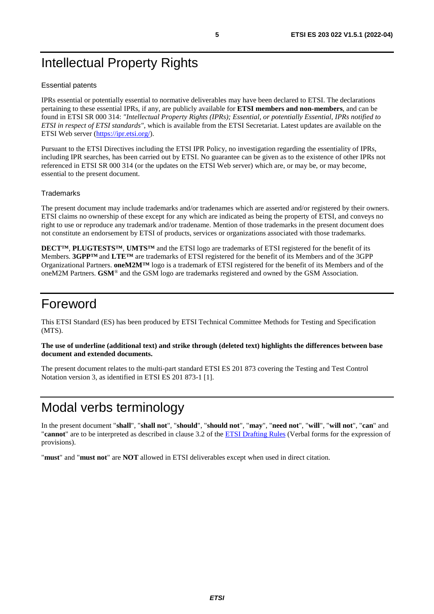## <span id="page-4-0"></span>Intellectual Property Rights

## Essential patents

IPRs essential or potentially essential to normative deliverables may have been declared to ETSI. The declarations pertaining to these essential IPRs, if any, are publicly available for **ETSI members and non-members**, and can be found in ETSI SR 000 314: *"Intellectual Property Rights (IPRs); Essential, or potentially Essential, IPRs notified to ETSI in respect of ETSI standards"*, which is available from the ETSI Secretariat. Latest updates are available on the ETSI Web server ([https://ipr.etsi.org/\)](https://ipr.etsi.org/).

Pursuant to the ETSI Directives including the ETSI IPR Policy, no investigation regarding the essentiality of IPRs, including IPR searches, has been carried out by ETSI. No guarantee can be given as to the existence of other IPRs not referenced in ETSI SR 000 314 (or the updates on the ETSI Web server) which are, or may be, or may become, essential to the present document.

## **Trademarks**

The present document may include trademarks and/or tradenames which are asserted and/or registered by their owners. ETSI claims no ownership of these except for any which are indicated as being the property of ETSI, and conveys no right to use or reproduce any trademark and/or tradename. Mention of those trademarks in the present document does not constitute an endorsement by ETSI of products, services or organizations associated with those trademarks.

**DECT™**, **PLUGTESTS™**, **UMTS™** and the ETSI logo are trademarks of ETSI registered for the benefit of its Members. **3GPP™** and **LTE™** are trademarks of ETSI registered for the benefit of its Members and of the 3GPP Organizational Partners. **oneM2M™** logo is a trademark of ETSI registered for the benefit of its Members and of the oneM2M Partners. **GSM**® and the GSM logo are trademarks registered and owned by the GSM Association.

## Foreword

This ETSI Standard (ES) has been produced by ETSI Technical Committee Methods for Testing and Specification (MTS).

## **The use of underline (additional text) and strike through (deleted text) highlights the differences between base document and extended documents.**

The present document relates to the multi-part standard ETSI ES 201 873 covering the Testing and Test Control Notation version 3, as identified in ETSI ES 201 873-1 [\[1\]](#page-5-0).

## Modal verbs terminology

In the present document "**shall**", "**shall not**", "**should**", "**should not**", "**may**", "**need not**", "**will**", "**will not**", "**can**" and "**cannot**" are to be interpreted as described in clause 3.2 of the [ETSI Drafting Rules](https://portal.etsi.org/Services/editHelp!/Howtostart/ETSIDraftingRules.aspx) (Verbal forms for the expression of provisions).

"**must**" and "**must not**" are **NOT** allowed in ETSI deliverables except when used in direct citation.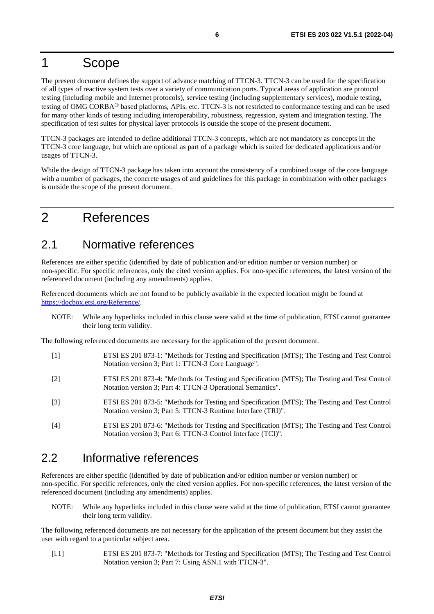## <span id="page-5-0"></span>1 Scope

The present document defines the support of advance matching of TTCN-3. TTCN-3 can be used for the specification of all types of reactive system tests over a variety of communication ports. Typical areas of application are protocol testing (including mobile and Internet protocols), service testing (including supplementary services), module testing, testing of OMG CORBA® based platforms, APIs, etc. TTCN-3 is not restricted to conformance testing and can be used for many other kinds of testing including interoperability, robustness, regression, system and integration testing. The specification of test suites for physical layer protocols is outside the scope of the present document.

TTCN-3 packages are intended to define additional TTCN-3 concepts, which are not mandatory as concepts in the TTCN-3 core language, but which are optional as part of a package which is suited for dedicated applications and/or usages of TTCN-3.

While the design of TTCN-3 package has taken into account the consistency of a combined usage of the core language with a number of packages, the concrete usages of and guidelines for this package in combination with other packages is outside the scope of the present document.

## 2 References

## 2.1 Normative references

References are either specific (identified by date of publication and/or edition number or version number) or non-specific. For specific references, only the cited version applies. For non-specific references, the latest version of the referenced document (including any amendments) applies.

Referenced documents which are not found to be publicly available in the expected location might be found at <https://docbox.etsi.org/Reference/>.

NOTE: While any hyperlinks included in this clause were valid at the time of publication, ETSI cannot guarantee their long term validity.

The following referenced documents are necessary for the application of the present document.

- [1] ETSI ES 201 873-1: "Methods for Testing and Specification (MTS); The Testing and Test Control Notation version 3; Part 1: TTCN-3 Core Language".
- [2] ETSI ES 201 873-4: "Methods for Testing and Specification (MTS); The Testing and Test Control Notation version 3; Part 4: TTCN-3 Operational Semantics".
- [3] ETSI ES 201 873-5: "Methods for Testing and Specification (MTS); The Testing and Test Control Notation version 3; Part 5: TTCN-3 Runtime Interface (TRI)".
- [4] ETSI ES 201 873-6: "Methods for Testing and Specification (MTS); The Testing and Test Control Notation version 3; Part 6: TTCN-3 Control Interface (TCI)".

## 2.2 Informative references

References are either specific (identified by date of publication and/or edition number or version number) or non-specific. For specific references, only the cited version applies. For non-specific references, the latest version of the referenced document (including any amendments) applies.

NOTE: While any hyperlinks included in this clause were valid at the time of publication, ETSI cannot guarantee their long term validity.

The following referenced documents are not necessary for the application of the present document but they assist the user with regard to a particular subject area.

[i.1] ETSI ES 201 873-7: "Methods for Testing and Specification (MTS); The Testing and Test Control Notation version 3; Part 7: Using ASN.1 with TTCN-3".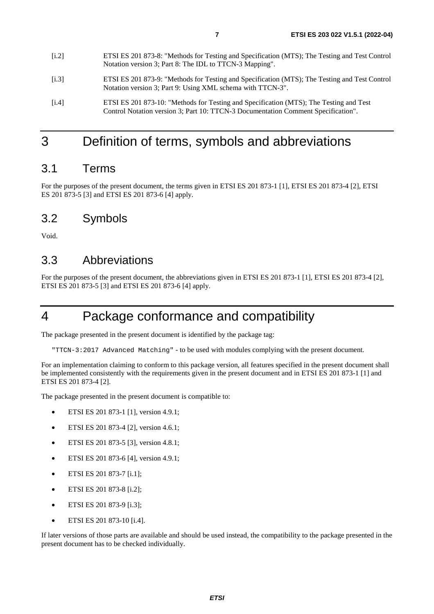- <span id="page-6-0"></span>[i.3] ETSI ES 201 873-9: "Methods for Testing and Specification (MTS); The Testing and Test Control Notation version 3; Part 9: Using XML schema with TTCN-3".
- [i.4] ETSI ES 201 873-10: "Methods for Testing and Specification (MTS); The Testing and Test Control Notation version 3; Part 10: TTCN-3 Documentation Comment Specification".

## 3 Definition of terms, symbols and abbreviations

## 3.1 Terms

For the purposes of the present document, the terms given in ETSI ES 201 873-1 [\[1](#page-5-0)], ETSI ES 201 873-4 [[2\]](#page-5-0), ETSI ES 201 873-5 [\[3\]](#page-5-0) and ETSI ES 201 873-6 [[4](#page-5-0)] apply.

## 3.2 Symbols

Void.

## 3.3 Abbreviations

For the purposes of the present document, the abbreviations given in ETSI ES 201 873-1 [\[1\]](#page-5-0), ETSI ES 201 873-4 [[2](#page-5-0)], ETSI ES 201 873-5 [\[3](#page-5-0)] and ETSI ES 201 873-6 [\[4](#page-5-0)] apply.

## 4 Package conformance and compatibility

The package presented in the present document is identified by the package tag:

"TTCN-3:2017 Advanced Matching" - to be used with modules complying with the present document*.*

For an implementation claiming to conform to this package version, all features specified in the present document shall be implemented consistently with the requirements given in the present document and in ETSI ES 201 873-1 [[1\]](#page-5-0) and ETSI ES 201 873-4 [\[2](#page-5-0)].

The package presented in the present document is compatible to:

- ETSI ES 201 873-1 [[1\]](#page-5-0), version 4.9.1;
- ETSI ES 201 873-4 [[2\]](#page-5-0), version 4.6.1;
- ETSI ES 201 873-5 [[3\]](#page-5-0), version 4.8.1;
- ETSI ES 201 873-6 [[4\]](#page-5-0), version 4.9.1;
- ETSI ES 201 873-7 [[i.1](#page-5-0)];
- ETSI ES 201 873-8 [i.2];
- ETSI ES 201 873-9 [i.3];
- ETSI ES 201 873-10 [i.4].

If later versions of those parts are available and should be used instead, the compatibility to the package presented in the present document has to be checked individually.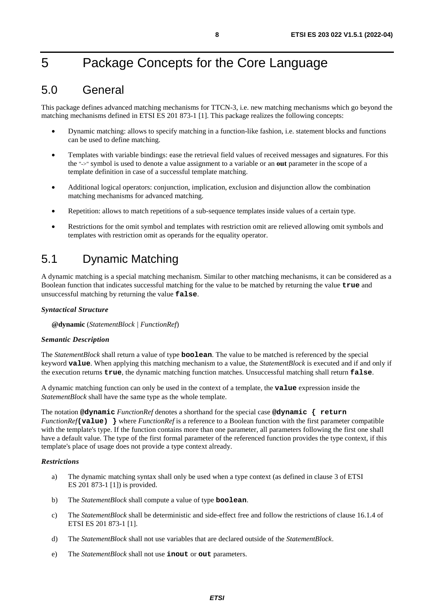## <span id="page-7-0"></span>5 Package Concepts for the Core Language

## 5.0 General

This package defines advanced matching mechanisms for TTCN-3, i.e. new matching mechanisms which go beyond the matching mechanisms defined in ETSI ES 201 873-1 [[1](#page-5-0)]. This package realizes the following concepts:

- Dynamic matching: allows to specify matching in a function-like fashion, i.e. statement blocks and functions can be used to define matching.
- Templates with variable bindings: ease the retrieval field values of received messages and signatures. For this the "->" symbol is used to denote a value assignment to a variable or an **out** parameter in the scope of a template definition in case of a successful template matching.
- Additional logical operators: conjunction, implication, exclusion and disjunction allow the combination matching mechanisms for advanced matching.
- Repetition: allows to match repetitions of a sub-sequence templates inside values of a certain type.
- Restrictions for the omit symbol and templates with restriction omit are relieved allowing omit symbols and templates with restriction omit as operands for the equality operator.

## 5.1 Dynamic Matching

A dynamic matching is a special matching mechanism. Similar to other matching mechanisms, it can be considered as a Boolean function that indicates successful matching for the value to be matched by returning the value **true** and unsuccessful matching by returning the value **false**.

## *Syntactical Structure*

**@dynamic** (*StatementBlock | FunctionRef*)

## *Semantic Description*

The *StatementBlock* shall return a value of type **boolean**. The value to be matched is referenced by the special keyword **value**. When applying this matching mechanism to a value, the *StatementBlock* is executed and if and only if the execution returns **true**, the dynamic matching function matches. Unsuccessful matching shall return **false**.

A dynamic matching function can only be used in the context of a template, the **value** expression inside the *StatementBlock* shall have the same type as the whole template.

The notation **@dynamic** *FunctionRef* denotes a shorthand for the special case **@dynamic { return**  *FunctionRef***(value) }** where *FunctionRef* is a reference to a Boolean function with the first parameter compatible with the template's type. If the function contains more than one parameter, all parameters following the first one shall have a default value. The type of the first formal parameter of the referenced function provides the type context, if this template's place of usage does not provide a type context already.

## *Restrictions*

- a) The dynamic matching syntax shall only be used when a type context (as defined in clause 3 of ETSI ES 201 873-1 [\[1](#page-5-0)]) is provided.
- b) The *StatementBlock* shall compute a value of type **boolean**.
- c) The *StatementBlock* shall be deterministic and side-effect free and follow the restrictions of clause 16.1.4 of ETSI ES 201 873-1 [[1\]](#page-5-0).
- d) The *StatementBlock* shall not use variables that are declared outside of the *StatementBlock*.
- e) The *StatementBlock* shall not use **inout** or **out** parameters.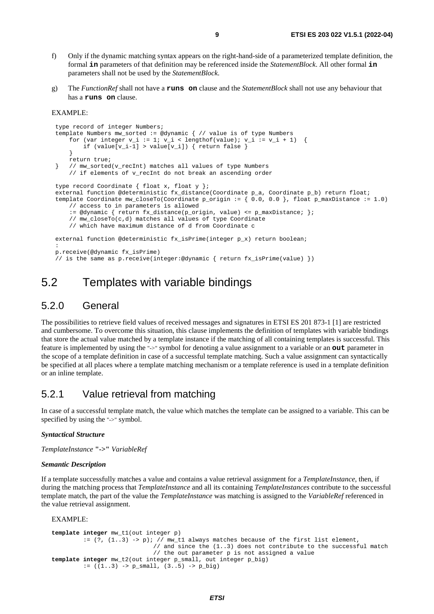- <span id="page-8-0"></span>f) Only if the dynamic matching syntax appears on the right-hand-side of a parameterized template definition, the formal **in** parameters of that definition may be referenced inside the *StatementBlock*. All other formal **in** parameters shall not be used by the *StatementBlock*.
- g) The *FunctionRef* shall not have a **runs on** clause and the *StatementBlock* shall not use any behaviour that has a **runs on** clause.

#### EXAMPLE:

```
 type record of integer Numbers; 
    template Numbers mw_sorted := @dynamic { // value is of type Numbers 
        for (var integer v_i := 1; v_i < lengthof(value); v_i := v_i + 1) {
            if (value[v_i-1] > value[v_i]) { return false }
 } 
         return true; 
    } // mw_sorted(v_recInt) matches all values of type Numbers 
         // if elements of v_recInt do not break an ascending order 
    type record Coordinate { float x, float y }; 
    external function @deterministic fx_distance(Coordinate p_a, Coordinate p_b) return float; 
    template Coordinate mw_closeTo(Coordinate p_origin := { 0.0, 0.0 }, float p_maxDistance := 1.0) 
         // access to in parameters is allowed 
         := @dynamic { return fx_distance(p_origin, value) <= p_maxDistance; }; 
         // mw_closeTo(c,d) matches all values of type Coordinate 
         // which have maximum distance of d from Coordinate c 
    external function @deterministic fx_isPrime(integer p_x) return boolean; 
: 10 pm
    p.receive(@dynamic fx_isPrime) 
     // is the same as p.receive(integer:@dynamic { return fx_isPrime(value) })
```
## 5.2 Templates with variable bindings

## 5.2.0 General

The possibilities to retrieve field values of received messages and signatures in ETSI ES 201 873-1 [\[1\]](#page-5-0) are restricted and cumbersome. To overcome this situation, this clause implements the definition of templates with variable bindings that store the actual value matched by a template instance if the matching of all containing templates is successful. This feature is implemented by using the "->" symbol for denoting a value assignment to a variable or an **out** parameter in the scope of a template definition in case of a successful template matching. Such a value assignment can syntactically be specified at all places where a template matching mechanism or a template reference is used in a template definition or an inline template.

## 5.2.1 Value retrieval from matching

In case of a successful template match, the value which matches the template can be assigned to a variable. This can be specified by using the "->" symbol.

#### *Syntactical Structure*

*TemplateInstance* **"->"** *VariableRef*

#### *Semantic Description*

If a template successfully matches a value and contains a value retrieval assignment for a *TemplateInstance*, then, if during the matching process that *TemplateInstance* and all its containing *TemplateInstances* contribute to the successful template match, the part of the value the *TemplateInstance* was matching is assigned to the *VariableRef* referenced in the value retrieval assignment.

EXAMPLE:

```
template integer mw_t1(out integer p) 
          := (?, (1..3) -> p); // mw_t1 always matches because of the first list element, 
                              // and since the (1..3) does not contribute to the successful match 
 // the out parameter p is not assigned a value 
template integer mw_t2(out integer p_small, out integer p_big) 
         := ((1..3) \rightarrow p\_small, (3..5) \rightarrow p\_big)
```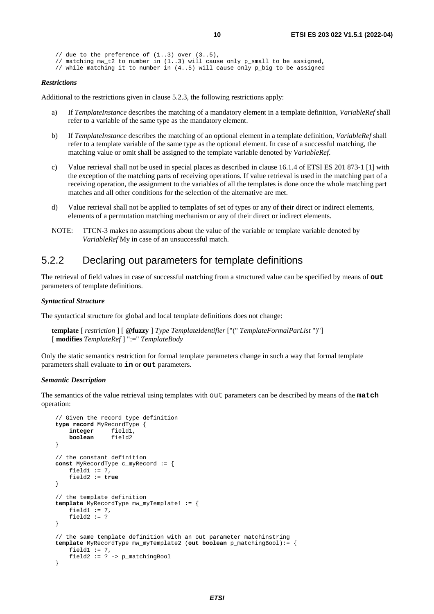```
// due to the preference of (1..3) over (3..5),
 // matching mw_t2 to number in (1..3) will cause only p_small to be assigned, 
 // while matching it to number in (4..5) will cause only p_big to be assigned
```
#### *Restrictions*

Additional to the restrictions given in clause 5.2.3, the following restrictions apply:

- a) If *TemplateInstance* describes the matching of a mandatory element in a template definition, *VariableRef* shall refer to a variable of the same type as the mandatory element.
- b) If *TemplateInstance* describes the matching of an optional element in a template definition, *VariableRef* shall refer to a template variable of the same type as the optional element. In case of a successful matching, the matching value or omit shall be assigned to the template variable denoted by *VariableRef*.
- c) Value retrieval shall not be used in special places as described in clause 16.1.4 of ETSI ES 201 873-1 [\[1](#page-5-0)] with the exception of the matching parts of receiving operations. If value retrieval is used in the matching part of a receiving operation, the assignment to the variables of all the templates is done once the whole matching part matches and all other conditions for the selection of the alternative are met.
- d) Value retrieval shall not be applied to templates of set of types or any of their direct or indirect elements, elements of a permutation matching mechanism or any of their direct or indirect elements.
- NOTE: TTCN-3 makes no assumptions about the value of the variable or template variable denoted by *VariableRef* My in case of an unsuccessful match.

## 5.2.2 Declaring out parameters for template definitions

The retrieval of field values in case of successful matching from a structured value can be specified by means of **out** parameters of template definitions.

#### *Syntactical Structure*

The syntactical structure for global and local template definitions does not change:

```
template [ restriction ] [ @fuzzy ] Type TemplateIdentifier ["(" TemplateFormalParList ")"] 
[ modifies TemplateRef ] ":=" TemplateBody
```
Only the static semantics restriction for formal template parameters change in such a way that formal template parameters shall evaluate to **in** or **out** parameters.

#### *Semantic Description*

The semantics of the value retrieval using templates with out parameters can be described by means of the **match** operation:

```
 // Given the record type definition 
 type record MyRecordType { 
     integer field1, 
     boolean field2 
 } 
 // the constant definition 
const MyRecordType c_myRecord := { 
    field1 := 7, field2 := true 
 } 
 // the template definition 
 template MyRecordType mw_myTemplate1 := { 
    field1 := 7,
    field2 := ? } 
 // the same template definition with an out parameter matchinstring 
 template MyRecordType mw_myTemplate2 (out boolean p_matchingBool):= { 
    field1 := 7,
     field2 := ? -> p_matchingBool 
 }
```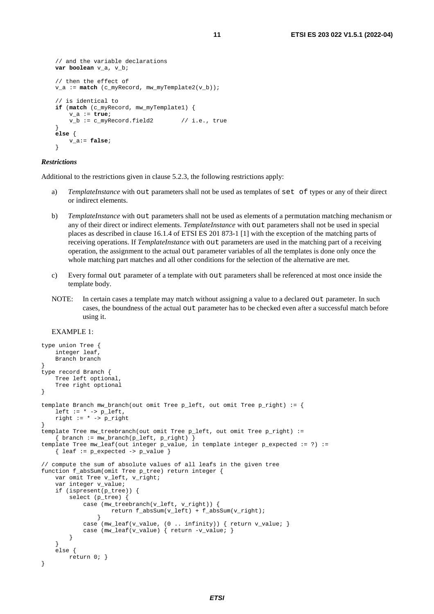```
 // and the variable declarations 
   var boolean v_a, v_b; 
    // then the effect of 
    v_a := match (c_myRecord, mw_myTemplate2(v_b)); 
    // is identical to 
   if (match (c_myRecord, mw_myTemplate1) { 
         v_a := true; 
        v_b := c_myRecord.field2 // i.e., true
 } 
   else { 
         v_a:= false; 
 }
```
#### *Restrictions*

Additional to the restrictions given in clause 5.2.3, the following restrictions apply:

- *TemplateInstance* with out parameters shall not be used as templates of set of types or any of their direct or indirect elements.
- b) *TemplateInstance* with out parameters shall not be used as elements of a permutation matching mechanism or any of their direct or indirect elements. *TemplateInstance* with out parameters shall not be used in special places as described in clause 16.1.4 of ETSI ES 201 873-1 [\[1](#page-5-0)] with the exception of the matching parts of receiving operations. If *TemplateInstance* with out parameters are used in the matching part of a receiving operation, the assignment to the actual out parameter variables of all the templates is done only once the whole matching part matches and all other conditions for the selection of the alternative are met.
- c) Every formal out parameter of a template with out parameters shall be referenced at most once inside the template body.
- NOTE: In certain cases a template may match without assigning a value to a declared out parameter. In such cases, the boundness of the actual out parameter has to be checked even after a successful match before using it.

### EXAMPLE 1:

```
type union Tree { 
     integer leaf, 
    Branch branch 
} 
type record Branch { 
    Tree left optional, 
    Tree right optional 
} 
template Branch mw_branch(out omit Tree p_left, out omit Tree p_right) := { 
   left := * -> p left,
   right := * -> p\_right} 
template Tree mw_treebranch(out omit Tree p_left, out omit Tree p_right) :=
     { branch := mw_branch(p_left, p_right) } 
template Tree mw_leaf(out integer p_value, in template integer p_expected := ?) := 
    { leaf := p_expected -> p_value }
// compute the sum of absolute values of all leafs in the given tree 
function f_absSum(omit Tree p_tree) return integer { 
     var omit Tree v_left, v_right; 
     var integer v_value; 
     if (ispresent(p_tree)) { 
        select (p_tree) {
             case (mw_treebranch(v_left, v_right)) { 
                     return f_absSum(v_left) + f_absSum(v_right); 
 } 
             case (mw_leaf(v_value, (0 .. infinity)) { return v_value; } 
            case (mw_leaf(v_value) { return -v_value; }
         } 
 } 
     else { 
        return 0; } 
}
```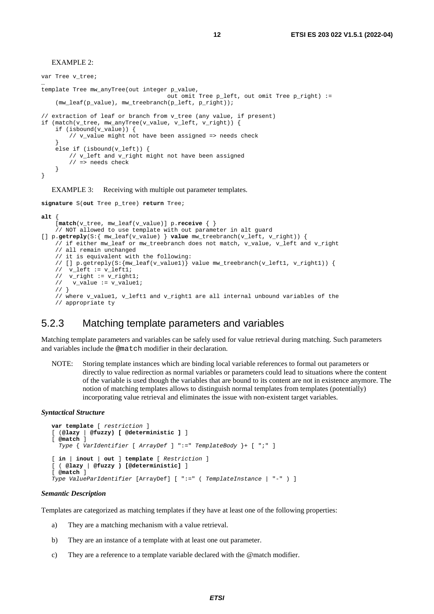<span id="page-11-0"></span>EXAMPLE 2:

var Tree v tree; … template Tree mw\_anyTree(out integer p\_value, out omit Tree p\_left, out omit Tree p\_right) :=  $(mw\_leaf(p\_value)$ ,  $mw\_treebranch(p\_left, p\_right))$ ; // extraction of leaf or branch from v\_tree (any value, if present) if (match(v\_tree, mw\_anyTree(v\_value, v\_left, v\_right)) { if (isbound(v\_value)) { // v\_value might not have been assigned => needs check } else if (isbound(v\_left)) { // v\_left and v\_right might not have been assigned // => needs check } }

EXAMPLE 3: Receiving with multiple out parameter templates.

**signature** S(**out** Tree p\_tree) **return** Tree;

#### **alt** { [**match**(v\_tree, mw\_leaf(v\_value)] p.**receive** { } // NOT allowed to use template with out parameter in alt guard [] p.**getreply**(S:{ mw\_leaf(v\_value) } **value** mw\_treebranch(v\_left, v\_right)) { // if either mw\_leaf or mw\_treebranch does not match, v\_value, v\_left and v\_right // all remain unchanged // it is equivalent with the following: // [] p.getreply(S:{mw\_leaf(v\_value1)} value mw\_treebranch(v\_left1, v\_right1)) { // v\_left := v\_left1; //  $v$ right :=  $v$  right1; // v\_value := v\_value1; // } // where v\_value1, v\_left1 and v\_right1 are all internal unbound variables of the // appropriate ty

## 5.2.3 Matching template parameters and variables

Matching template parameters and variables can be safely used for value retrieval during matching. Such parameters and variables include the @match modifier in their declaration.

NOTE: Storing template instances which are binding local variable references to formal out parameters or directly to value redirection as normal variables or parameters could lead to situations where the content of the variable is used though the variables that are bound to its content are not in existence anymore. The notion of matching templates allows to distinguish normal templates from templates (potentially) incorporating value retrieval and eliminates the issue with non-existent target variables.

#### *Syntactical Structure*

```
var template [ restriction ] 
[ (@lazy | @fuzzy) [ @deterministic ] ] 
[ @match ] 
   Type { VarIdentifier [ ArrayDef ] ":=" TemplateBody }+ [ ";" ] 
[ in | inout | out ] template [ Restriction ] 
[ ( @lazy | @fuzzy ) [@deterministic] ] 
[ @match ] 
Type ValueParIdentifier [ArrayDef] [ ":=" ( TemplateInstance | "-" ) ]
```
#### *Semantic Description*

Templates are categorized as matching templates if they have at least one of the following properties:

- a) They are a matching mechanism with a value retrieval.
- b) They are an instance of a template with at least one out parameter.
- c) They are a reference to a template variable declared with the @match modifier.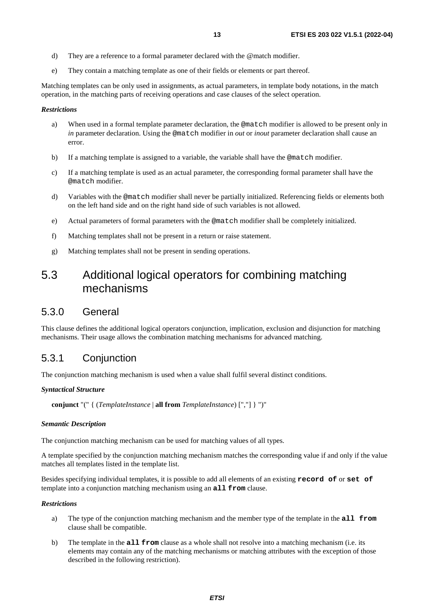- <span id="page-12-0"></span>d) They are a reference to a formal parameter declared with the @match modifier.
- e) They contain a matching template as one of their fields or elements or part thereof.

Matching templates can be only used in assignments, as actual parameters, in template body notations, in the match operation, in the matching parts of receiving operations and case clauses of the select operation.

### *Restrictions*

- a) When used in a formal template parameter declaration, the @match modifier is allowed to be present only in *in* parameter declaration. Using the @match modifier in *out* or *inout* parameter declaration shall cause an error.
- b) If a matching template is assigned to a variable, the variable shall have the @match modifier.
- c) If a matching template is used as an actual parameter, the corresponding formal parameter shall have the @match modifier.
- d) Variables with the @match modifier shall never be partially initialized. Referencing fields or elements both on the left hand side and on the right hand side of such variables is not allowed.
- e) Actual parameters of formal parameters with the @match modifier shall be completely initialized.
- f) Matching templates shall not be present in a return or raise statement.
- g) Matching templates shall not be present in sending operations.

## 5.3 Additional logical operators for combining matching mechanisms

## 5.3.0 General

This clause defines the additional logical operators conjunction, implication, exclusion and disjunction for matching mechanisms. Their usage allows the combination matching mechanisms for advanced matching.

## 5.3.1 Conjunction

The conjunction matching mechanism is used when a value shall fulfil several distinct conditions.

### *Syntactical Structure*

**conjunct** "(" { (*TemplateInstance* | **all from** *TemplateInstance*) [","] } ")"

### *Semantic Description*

The conjunction matching mechanism can be used for matching values of all types.

A template specified by the conjunction matching mechanism matches the corresponding value if and only if the value matches all templates listed in the template list.

Besides specifying individual templates, it is possible to add all elements of an existing **record of** or **set of** template into a conjunction matching mechanism using an **all from** clause.

### *Restrictions*

- a) The type of the conjunction matching mechanism and the member type of the template in the **all from** clause shall be compatible.
- b) The template in the **all from** clause as a whole shall not resolve into a matching mechanism (i.e. its elements may contain any of the matching mechanisms or matching attributes with the exception of those described in the following restriction).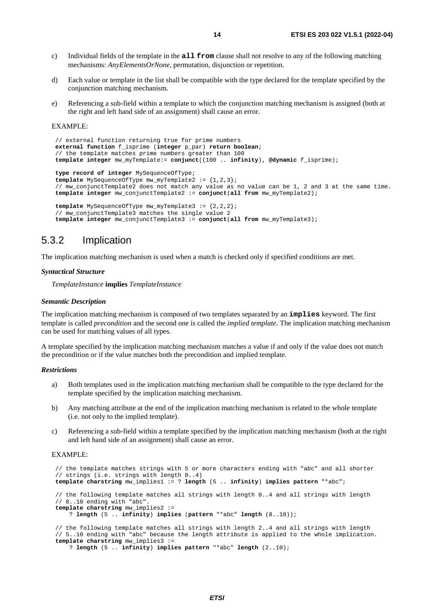- <span id="page-13-0"></span>c) Individual fields of the template in the **all from** clause shall not resolve to any of the following matching mechanisms: *AnyElementsOrNone*, permutation, disjunction or repetition.
- d) Each value or template in the list shall be compatible with the type declared for the template specified by the conjunction matching mechanism.
- e) Referencing a sub-field within a template to which the conjunction matching mechanism is assigned (both at the right and left hand side of an assignment) shall cause an error.

#### EXAMPLE:

```
// external function returning true for prime numbers 
 external function f_isprime (integer p_par) return boolean; 
 // the template matches prime numbers greater than 100 
 template integer mw_myTemplate:= conjunct((100 .. infinity), @dynamic f_isprime); 
type record of integer MySequenceOfType; 
template MySequenceOfType mw_myTemplate2 := {1,2,3}; 
 // mw_conjunctTemplate2 does not match any value as no value can be 1, 2 and 3 at the same time. 
template integer mw_conjunctTemplate2 := conjunct(all from mw_myTemplate2); 
template MySequenceOfType mw_myTemplate3 := {2,2,2}; 
 // mw_conjunctTemplate3 matches the single value 2 
template integer mw_conjunctTemplate3 := conjunct(all from mw_myTemplate3);
```
## 5.3.2 Implication

The implication matching mechanism is used when a match is checked only if specified conditions are met.

#### *Syntactical Structure*

*TemplateInstance* **implies** *TemplateInstance* 

#### *Semantic Description*

The implication matching mechanism is composed of two templates separated by an **implies** keyword. The first template is called *precondition* and the second one is called the *implied template*. The implication matching mechanism can be used for matching values of all types.

A template specified by the implication matching mechanism matches a value if and only if the value does not match the precondition or if the value matches both the precondition and implied template.

#### *Restrictions*

- a) Both templates used in the implication matching mechanism shall be compatible to the type declared for the template specified by the implication matching mechanism.
- b) Any matching attribute at the end of the implication matching mechanism is related to the whole template (i.e. not only to the implied template).
- c) Referencing a sub-field within a template specified by the implication matching mechanism (both at the right and left hand side of an assignment) shall cause an error.

### EXAMPLE:

```
 // the template matches strings with 5 or more characters ending with "abc" and all shorter 
 // strings (i.e. strings with length 0..4) 
 template charstring mw_implies1 := ? length (5 .. infinity) implies pattern "*abc"; 
 // the following template matches all strings with length 0..4 and all strings with length 
 // 8..10 ending with "abc". 
 template charstring mw_implies2 := 
     ? length (5 .. infinity) implies (pattern "*abc" length (8..10)); 
 // the following template matches all strings with length 2..4 and all strings with length 
 // 5..10 ending with "abc" because the length attribute is applied to the whole implication. 
 template charstring mw_implies3 :=
```

```
 ? length (5 .. infinity) implies pattern "*abc" length (2..10);
```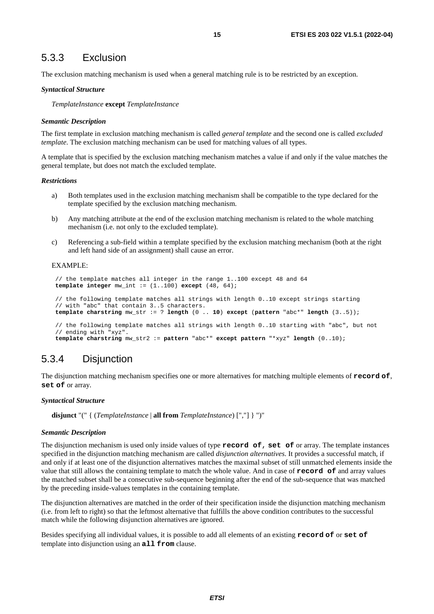## <span id="page-14-0"></span>5.3.3 Exclusion

The exclusion matching mechanism is used when a general matching rule is to be restricted by an exception.

#### *Syntactical Structure*

*TemplateInstance* **except** *TemplateInstance* 

#### *Semantic Description*

The first template in exclusion matching mechanism is called *general template* and the second one is called *excluded template*. The exclusion matching mechanism can be used for matching values of all types.

A template that is specified by the exclusion matching mechanism matches a value if and only if the value matches the general template, but does not match the excluded template.

#### *Restrictions*

- a) Both templates used in the exclusion matching mechanism shall be compatible to the type declared for the template specified by the exclusion matching mechanism.
- b) Any matching attribute at the end of the exclusion matching mechanism is related to the whole matching mechanism (i.e. not only to the excluded template).
- c) Referencing a sub-field within a template specified by the exclusion matching mechanism (both at the right and left hand side of an assignment) shall cause an error.

### EXAMPLE:

```
 // the template matches all integer in the range 1..100 except 48 and 64 
 template integer mw_int := (1..100) except (48, 64); 
 // the following template matches all strings with length 0..10 except strings starting 
 // with "abc" that contain 3..5 characters. 
 template charstring mw_str := ? length (0 .. 10) except (pattern "abc*" length (3..5)); 
 // the following template matches all strings with length 0..10 starting with "abc", but not
```

```
 // ending with "xyz". 
 template charstring mw_str2 := pattern "abc*" except pattern "*xyz" length (0..10);
```
## 5.3.4 Disjunction

The disjunction matching mechanism specifies one or more alternatives for matching multiple elements of **record of**, **set of** or array.

#### *Syntactical Structure*

**disjunct** "(" { (*TemplateInstance* | **all from** *TemplateInstance*) [","] } ")"

#### *Semantic Description*

The disjunction mechanism is used only inside values of type **record of**, **set of** or array. The template instances specified in the disjunction matching mechanism are called *disjunction alternatives*. It provides a successful match, if and only if at least one of the disjunction alternatives matches the maximal subset of still unmatched elements inside the value that still allows the containing template to match the whole value. And in case of **record of** and array values the matched subset shall be a consecutive sub-sequence beginning after the end of the sub-sequence that was matched by the preceding inside-values templates in the containing template.

The disjunction alternatives are matched in the order of their specification inside the disjunction matching mechanism (i.e. from left to right) so that the leftmost alternative that fulfills the above condition contributes to the successful match while the following disjunction alternatives are ignored.

Besides specifying all individual values, it is possible to add all elements of an existing **record of** or **set of** template into disjunction using an **all from** clause.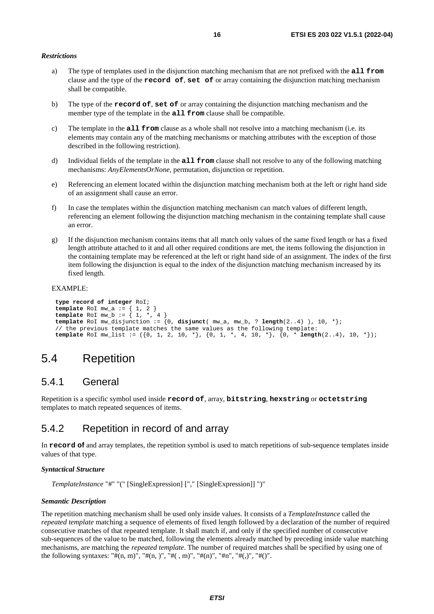### <span id="page-15-0"></span>*Restrictions*

- a) The type of templates used in the disjunction matching mechanism that are not prefixed with the **all from** clause and the type of the **record of**, **set of** or array containing the disjunction matching mechanism shall be compatible.
- b) The type of the **record of**, **set of** or array containing the disjunction matching mechanism and the member type of the template in the **all from** clause shall be compatible.
- c) The template in the **all from** clause as a whole shall not resolve into a matching mechanism (i.e. its elements may contain any of the matching mechanisms or matching attributes with the exception of those described in the following restriction).
- d) Individual fields of the template in the **all from** clause shall not resolve to any of the following matching mechanisms: *AnyElementsOrNone*, permutation, disjunction or repetition.
- e) Referencing an element located within the disjunction matching mechanism both at the left or right hand side of an assignment shall cause an error.
- f) In case the templates within the disjunction matching mechanism can match values of different length, referencing an element following the disjunction matching mechanism in the containing template shall cause an error.
- g) If the disjunction mechanism contains items that all match only values of the same fixed length or has a fixed length attribute attached to it and all other required conditions are met, the items following the disjunction in the containing template may be referenced at the left or right hand side of an assignment. The index of the first item following the disjunction is equal to the index of the disjunction matching mechanism increased by its fixed length.

#### EXAMPLE:

```
type record of integer RoI; 
template RoI mw_a := { 1, 2 } 
template RoI mw_b := { 1, *, 4 } 
 template RoI mw_disjunction := {0, disjunct( mw_a, mw_b, ? length(2..4) ), 10, *}; 
 // the previous template matches the same values as the following template: 
template RoI mw_list := ({0, 1, 2, 10, *}, {0, 1, *, 4, 10, *}, {0, * length(2..4), 10, *});
```
## 5.4 Repetition

## 5.4.1 General

Repetition is a specific symbol used inside **record of**, array, **bitstring**, **hexstring** or **octetstring** templates to match repeated sequences of items.

## 5.4.2 Repetition in record of and array

In **record of** and array templates, the repetition symbol is used to match repetitions of sub-sequence templates inside values of that type.

#### *Syntactical Structure*

*TemplateInstance* "#" "(" [SingleExpression] ["," [SingleExpression]] ")"

### *Semantic Description*

The repetition matching mechanism shall be used only inside values. It consists of a *TemplateInstance* called the *repeated template* matching a sequence of elements of fixed length followed by a declaration of the number of required consecutive matches of that repeated template. It shall match if, and only if the specified number of consecutive sub-sequences of the value to be matched, following the elements already matched by preceding inside value matching mechanisms, are matching the *repeated template*. The number of required matches shall be specified by using one of the following syntaxes: "# $(n, m)$ ", "# $(n, )$ ", "# $(n, )$ ", "# $(n)$ ", "# $(n)$ ", "# $(n)$ ", "# $(n)$ ".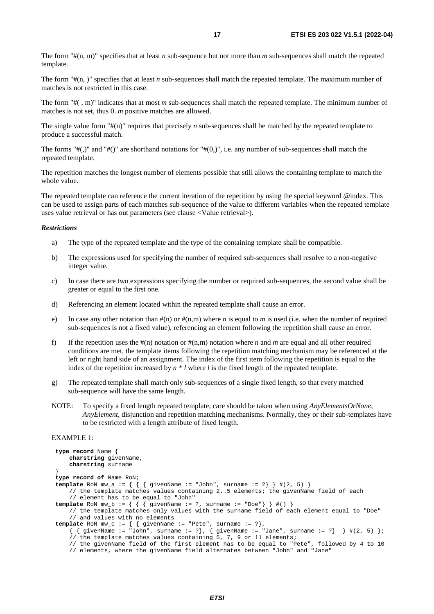The form "#(n, m)" specifies that at least *n* sub-sequence but not more than *m* sub-sequences shall match the repeated template.

The form "#(n, )" specifies that at least *n* sub-sequences shall match the repeated template. The maximum number of matches is not restricted in this case.

The form "#( , m)" indicates that at most *m* sub-sequences shall match the repeated template. The minimum number of matches is not set, thus 0..*m* positive matches are allowed.

The single value form "#(n)" requires that precisely *n* sub-sequences shall be matched by the repeated template to produce a successful match.

The forms " $\#(.)$ " and " $\#()$ " are shorthand notations for " $\#(0,1)$ ", i.e. any number of sub-sequences shall match the repeated template.

The repetition matches the longest number of elements possible that still allows the containing template to match the whole value.

The repeated template can reference the current iteration of the repetition by using the special keyword @index. This can be used to assign parts of each matches sub-sequence of the value to different variables when the repeated template uses value retrieval or has out parameters (see clause <Value retrieval>).

### *Restrictions*

- a) The type of the repeated template and the type of the containing template shall be compatible.
- b) The expressions used for specifying the number of required sub-sequences shall resolve to a non-negative integer value.
- c) In case there are two expressions specifying the number or required sub-sequences, the second value shall be greater or equal to the first one.
- d) Referencing an element located within the repeated template shall cause an error.
- e) In case any other notation than  $\#(n)$  or  $\#(n,m)$  where *n* is equal to *m* is used (i.e. when the number of required sub-sequences is not a fixed value), referencing an element following the repetition shall cause an error.
- f) If the repetition uses the  $\#(n)$  notation or  $\#(n,m)$  notation where *n* and *m* are equal and all other required conditions are met, the template items following the repetition matching mechanism may be referenced at the left or right hand side of an assignment. The index of the first item following the repetition is equal to the index of the repetition increased by *n \* l* where *l* is the fixed length of the repeated template.
- g) The repeated template shall match only sub-sequences of a single fixed length, so that every matched sub-sequence will have the same length.
- NOTE: To specify a fixed length repeated template, care should be taken when using *AnyElementsOrNone*, *AnyElement,* disjunction and repetition matching mechanisms. Normally, they or their sub-templates have to be restricted with a length attribute of fixed length.

### EXAMPLE 1:

```
 type record Name { 
        charstring givenName, 
        charstring surname 
 } 
    type record of Name RoN; 
   template RoN mw_a := { { { givenName := "John", surname := ?} } #(2, 5) } 
        // the template matches values containing 2..5 elements; the givenName field of each 
         // element has to be equal to "John" 
   template RoN mw_b := { { { givenName := ?, surname := "Doe"} } #() } 
         // the template matches only values with the surname field of each element equal to "Doe" 
         // and values with no elements 
 template RoN mw_c := { { givenName := "Pete", surname := ?}, 
\{ { givenName := "John", surname := ?}, { givenName := "Jane", surname := ?} } #(2, 5) };
         // the template matches values containing 5, 7, 9 or 11 elements; 
         // the givenName field of the first element has to be equal to "Pete", followed by 4 to 10 
         // elements, where the givenName field alternates between "John" and "Jane"
```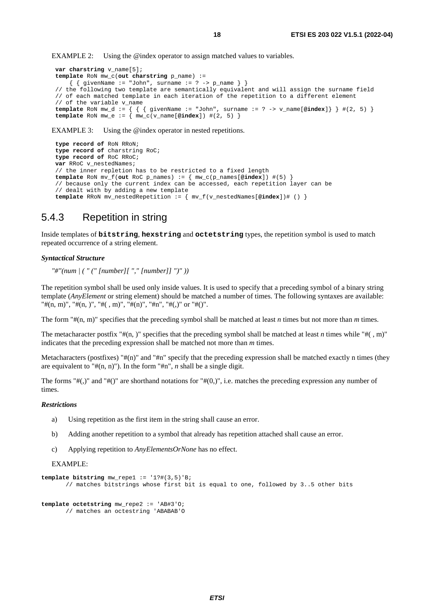<span id="page-17-0"></span>EXAMPLE 2: Using the @index operator to assign matched values to variables.

```
var charstring v_name[5]; 
template RoN mw_c(out charstring p_name) := 
    \{ \{ givenName := "John", surname := ? -> p_name \} }
 // the following two template are semantically equivalent and will assign the surname field 
 // of each matched template in each iteration of the repetition to a different element 
\frac{1}{\sqrt{2}} of the variable v name
template RoN mw_d := { { { givenName := "John", surname := ? -> v_name[@index]} } #(2, 5) } 
template RoN mw_e := { mw_c(v_name[@index]) #(2, 5) }
```
EXAMPLE 3: Using the @index operator in nested repetitions.

```
type record of RoN RRoN; 
type record of charstring RoC; 
type record of RoC RRoC; 
var RRoC v_nestedNames; 
 // the inner repletion has to be restricted to a fixed length 
template RoN mv_f(out RoC p_names) := { mw_c(p_names[@index]) #(5) } 
 // because only the current index can be accessed, each repetition layer can be 
 // dealt with by adding a new template 
template RRoN mv_nestedRepetition := { mv_f(v_nestedNames[@index])# () }
```
## 5.4.3 Repetition in string

Inside templates of **bitstring**, **hexstring** and **octetstring** types, the repetition symbol is used to match repeated occurrence of a string element.

### *Syntactical Structure*

*"#"(num | ( " (" [number][ "," [number]] ")" ))* 

The repetition symbol shall be used only inside values. It is used to specify that a preceding symbol of a binary string template (*AnyElement* or string element) should be matched a number of times. The following syntaxes are available: "# $(n, m)$ ", "# $(n, )$ ", "# $((, m)$ ", "# $(n)$ ", "# $n$ ", "# $((, )$ " or "# $()$ ".

The form "#(n, m)" specifies that the preceding symbol shall be matched at least *n* times but not more than *m* times.

The metacharacter postfix " $\#$ (n, )" specifies that the preceding symbol shall be matched at least *n* times while " $\#$ (, m)" indicates that the preceding expression shall be matched not more than *m* times.

Metacharacters (postfixes) " $\#(n)$ " and " $\#n$ " specify that the preceding expression shall be matched exactly n times (they are equivalent to " $\#(n, n)$ "). In the form " $\#n$ ", *n* shall be a single digit.

The forms " $\#(.)$ " and " $\#()$ " are shorthand notations for " $\#(0,)$ ", i.e. matches the preceding expression any number of times.

### *Restrictions*

- a) Using repetition as the first item in the string shall cause an error.
- b) Adding another repetition to a symbol that already has repetition attached shall cause an error.
- c) Applying repetition to *AnyElementsOrNone* has no effect.

#### EXAMPLE:

```
template bitstring mw_repe1 := '1?#(3,5)'B; 
        // matches bitstrings whose first bit is equal to one, followed by 3..5 other bits 
template octetstring mw_repe2 := 'AB#3'O; 
        // matches an octestring 'ABABAB'O
```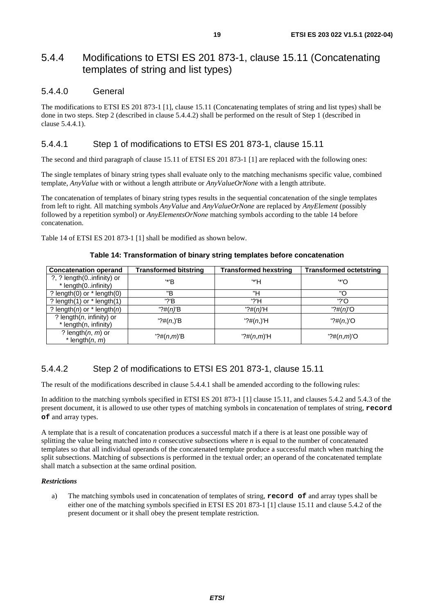## <span id="page-18-0"></span>5.4.4 Modifications to ETSI ES 201 873-1, clause 15.11 (Concatenating templates of string and list types)

## 5.4.4.0 General

The modifications to ETSI ES 201 873-1 [[1\]](#page-5-0), clause 15.11 (Concatenating templates of string and list types) shall be done in two steps. Step 2 (described in clause 5.4.4.2) shall be performed on the result of Step 1 (described in clause 5.4.4.1).

## 5.4.4.1 Step 1 of modifications to ETSI ES 201 873-1, clause 15.11

The second and third paragraph of clause 15.11 of ETSI ES 201 873-1 [[1](#page-5-0)] are replaced with the following ones:

The single templates of binary string types shall evaluate only to the matching mechanisms specific value, combined template, *AnyValue* with or without a length attribute or *AnyValueOrNone* with a length attribute.

The concatenation of templates of binary string types results in the sequential concatenation of the single templates from left to right. All matching symbols *AnyValue* and *AnyValueOrNone* are replaced by *AnyElement* (possibly followed by a repetition symbol) or *AnyElementsOrNone* matching symbols according to the table 14 before concatenation.

Table 14 of ETSI ES 201 873-1 [\[1\]](#page-5-0) shall be modified as shown below.

## **Table 14: Transformation of binary string templates before concatenation**

| <b>Concatenation operand</b>                         | <b>Transformed bitstring</b> | <b>Transformed hexstring</b> | <b>Transformed octetstring</b> |
|------------------------------------------------------|------------------------------|------------------------------|--------------------------------|
| ?, ? length(0infinity) or<br>* length(0infinity)     | '*'B                         | '*'H                         | '*'O                           |
| ? length $(0)$ or $*$ length $(0)$                   | "B                           | "H                           | "റ                             |
| ? length $(1)$ or $*$ length $(1)$                   | $'$ ?'B                      | '?'H                         | '?'O                           |
| ? length( $n$ ) or $*$ length( $n$ )                 | $?#(n)$ 'B                   | $?#(n)$ 'H                   | $?$ #(n)'O                     |
| ? length $(n,$ infinity) or<br>* length(n, infinity) | ?#(n, )'B                    | ?#(n, )'H                    | ?#(n, )'O                      |
| ? length $(n, m)$ or<br>* length $(n, m)$            | $?#(n,m)$ 'B                 | $? \#(n,m)$ 'H               | $'? \#(n,m)'$ O                |

## 5.4.4.2 Step 2 of modifications to ETSI ES 201 873-1, clause 15.11

The result of the modifications described in clause 5.4.4.1 shall be amended according to the following rules:

In addition to the matching symbols specified in ETSI ES 201 873-1 [\[1\]](#page-5-0) clause 15.11, and clauses [5.4.2](#page-15-0) and [5.4.3](#page-17-0) of the present document, it is allowed to use other types of matching symbols in concatenation of templates of string, **record of** and array types.

A template that is a result of concatenation produces a successful match if a there is at least one possible way of splitting the value being matched into *n* consecutive subsections where *n* is equal to the number of concatenated templates so that all individual operands of the concatenated template produce a successful match when matching the split subsections. Matching of subsections is performed in the textual order; an operand of the concatenated template shall match a subsection at the same ordinal position.

## *Restrictions*

a) The matching symbols used in concatenation of templates of string, **record of** and array types shall be either one of the matching symbols specified in ETSI ES 201 873-1 [\[1](#page-5-0)] clause 15.11 and clause [5.4.2](#page-15-0) of the present document or it shall obey the present template restriction.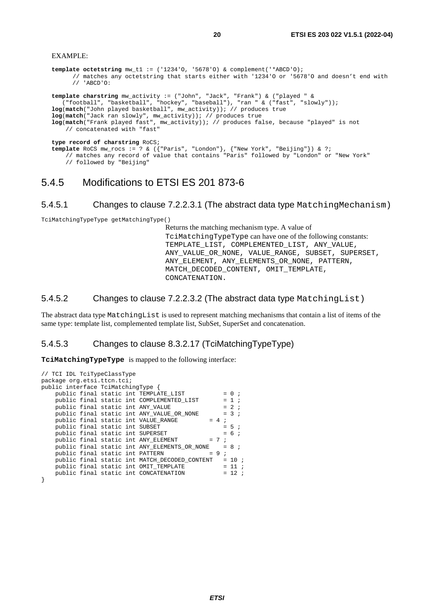#### <span id="page-19-0"></span>EXAMPLE:

```
template octetstring mw_t1 := ('1234'O, '5678'O) & complement('*ABCD'O); 
       // matches any octetstring that starts either with '1234'O or '5678'O and doesn't end with 
       // 'ABCD'O: 
template charstring mw_activity := ("John", "Jack", "Frank") & ("played " & 
    ("football", "basketball", "hockey", "baseball"), "ran " & ("fast", "slowly")); 
log(match("John played basketball", mw_activity)); // produces true 
log(match("Jack ran slowly", mw_activity)); // produces true 
log(match("Frank played fast", mw_activity)); // produces false, because "played" is not 
     // concatenated with "fast" 
type record of charstring RoCS; 
template RoCS mw_rocs := ? & ({"Paris", "London"}, {"New York", "Beijing"}) & ?; 
     // matches any record of value that contains "Paris" followed by "London" or "New York" 
     // followed by "Beijing"
```
## 5.4.5 Modifications to ETSI ES 201 873-6

## 5.4.5.1 Changes to clause 7.2.2.3.1 (The abstract data type MatchingMechanism)

TciMatchingTypeType getMatchingType()

Returns the matching mechanism type. A value of TciMatchingTypeType can have one of the following constants: TEMPLATE LIST, COMPLEMENTED LIST, ANY VALUE, ANY\_VALUE\_OR\_NONE, VALUE\_RANGE, SUBSET, SUPERSET, ANY\_ELEMENT, ANY\_ELEMENTS\_OR\_NONE, PATTERN, MATCH\_DECODED\_CONTENT, OMIT\_TEMPLATE, CONCATENATION.

## 5.4.5.2 Changes to clause 7.2.2.3.2 (The abstract data type MatchingList)

The abstract data type MatchingList is used to represent matching mechanisms that contain a list of items of the same type: template list, complemented template list, SubSet, SuperSet and concatenation.

## 5.4.5.3 Changes to clause 8.3.2.17 (TciMatchingTypeType)

**TciMatchingTypeType** is mapped to the following interface:

```
// TCI IDL TciTypeClassType 
package org.etsi.ttcn.tci; 
public interface TciMatchingType { 
    public final static int \text{TEMPLATE\_LIST} = 0 ;<br>public final static int COMPLEMENTED LIST = 1 ;
    public final static int COMPLEMENTED_LIST
    public final static int ANY_VALUE = 2 ;<br>public final static int ANY_VALUE OR_NONE = 3 ;
    public final static int ANY\_VALUE\_OR\_NONE = minline final static int VALUE RANGE = 4 ;
    public final static int VALUE_RANGE = 4;<br>public final static int SUBSET = 5;
    public final static int SUBSET
    public final static int SUPERSET = 6;
    public final static int ANY_ELEMENT = 7;
    public final static int ANY ELEMENTS OR NONE = 8 ;
    public final static int PATTERN = 9 ;
     public final static int MATCH_DECODED_CONTENT = 10 ; 
    public final static int OMIT_TEMPLATE = 11 ;
    public final static int CONCATENATION = 12 ;
}
```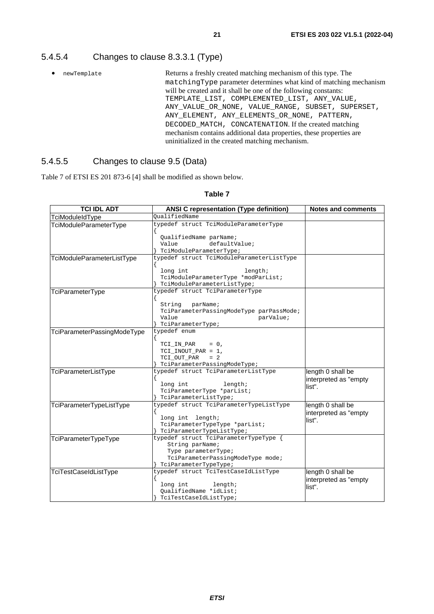## <span id="page-20-0"></span>5.4.5.4 Changes to clause 8.3.3.1 (Type)

• newTemplate Returns a freshly created matching mechanism of this type. The matchingType parameter determines what kind of matching mechanism will be created and it shall be one of the following constants: TEMPLATE\_LIST, COMPLEMENTED\_LIST, ANY\_VALUE, ANY\_VALUE\_OR\_NONE, VALUE\_RANGE, SUBSET, SUPERSET, ANY\_ELEMENT, ANY\_ELEMENTS\_OR\_NONE, PATTERN, DECODED\_MATCH, CONCATENATION. If the created matching mechanism contains additional data properties, these properties are uninitialized in the created matching mechanism.

## 5.4.5.5 Changes to clause 9.5 (Data)

Table 7 of ETSI ES 201 873-6 [[4](#page-5-0)] shall be modified as shown below.

| <b>TCI IDL ADT</b>          | <b>ANSI C representation (Type definition)</b> | <b>Notes and comments</b> |  |
|-----------------------------|------------------------------------------------|---------------------------|--|
| TciModuleIdType             | OualifiedName                                  |                           |  |
| TciModuleParameterType      | typedef struct TciModuleParameterType          |                           |  |
|                             | QualifiedName parName;                         |                           |  |
|                             | Value<br>defaultValue;                         |                           |  |
|                             | TciModuleParameterType;                        |                           |  |
| TciModuleParameterListType  | typedef struct TciModuleParameterListType      |                           |  |
|                             | length;<br>long int                            |                           |  |
|                             | TciModuleParameterType *modParList;            |                           |  |
|                             | TciModuleParameterListType;                    |                           |  |
| TciParameterType            | typedef struct TciParameterType                |                           |  |
|                             |                                                |                           |  |
|                             | String<br>parName;                             |                           |  |
|                             | TciParameterPassingModeType parPassMode;       |                           |  |
|                             | Value<br>parValue;                             |                           |  |
|                             | TciParameterType;                              |                           |  |
| TciParameterPassingModeType | typedef enum                                   |                           |  |
|                             | TCI_IN_PAR<br>$= 0,$                           |                           |  |
|                             | TCI_INOUT_PAR = 1,                             |                           |  |
|                             | TCI_OUT_PAR<br>$= 2$                           |                           |  |
|                             | TciParameterPassingModeType;                   |                           |  |
| TciParameterListType        | typedef struct TciParameterListType            | length 0 shall be         |  |
|                             |                                                | interpreted as "empty     |  |
|                             | long int<br>length;                            | list".                    |  |
|                             | TciParameterType *parList;                     |                           |  |
|                             | TciParameterListType;                          |                           |  |
| TciParameterTypeListType    | typedef struct TciParameterTypeListType        | length 0 shall be         |  |
|                             | long int length;                               | interpreted as "empty     |  |
|                             | TciParameterTypeType *parList;                 | list".                    |  |
|                             | TciParameterTypeListType;                      |                           |  |
| TciParameterTypeType        | typedef struct TciParameterTypeType {          |                           |  |
|                             | String parName;                                |                           |  |
|                             | Type parameterType;                            |                           |  |
|                             | TciParameterPassingModeType mode;              |                           |  |
|                             | TciParameterTypeType;                          |                           |  |
| TciTestCaseIdListType       | typedef struct TciTestCaseIdListType           | length 0 shall be         |  |
|                             |                                                | interpreted as "empty     |  |
|                             | long int<br>length;<br>QualifiedName *idList;  | list".                    |  |
|                             | TciTestCaseIdListType;                         |                           |  |
|                             |                                                |                           |  |

## **Table 7**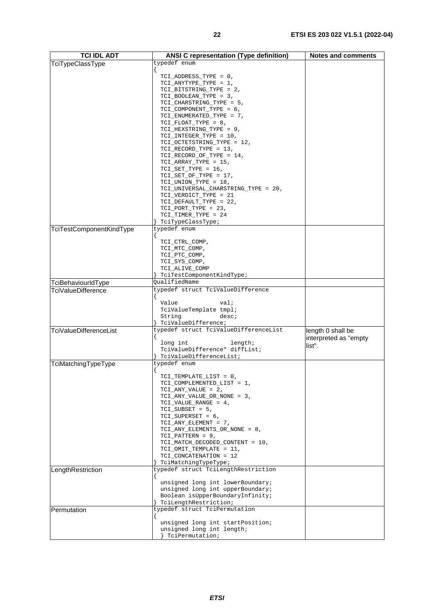| <b>TCI IDL ADT</b>              | <b>ANSI C representation (Type definition)</b>                       | <b>Notes and comments</b>       |
|---------------------------------|----------------------------------------------------------------------|---------------------------------|
| TciTypeClassType                | typedef enum                                                         |                                 |
|                                 |                                                                      |                                 |
|                                 | TCI_ADDRESS_TYPE = 0,                                                |                                 |
|                                 | TCI_ANYTYPE_TYPE = 1,                                                |                                 |
|                                 | TCI_BITSTRING_TYPE = 2,<br>TCI_BOOLEAN_TYPE = 3,                     |                                 |
|                                 | TCI_CHARSTRING_TYPE = 5,                                             |                                 |
|                                 | TCI_COMPONENT_TYPE = 6,                                              |                                 |
|                                 | $TCI$ _ENUMERATED_TYPE = 7,                                          |                                 |
|                                 | $TCI_FLOAT_TYPE = 8$ ,<br>TCI_HEXSTRING_TYPE = 9,                    |                                 |
|                                 | TCI_INTEGER_TYPE = 10,                                               |                                 |
|                                 | TCI_OCTETSTRING_TYPE = 12,                                           |                                 |
|                                 | $TCI_RECORD_TYPE = 13$ ,                                             |                                 |
|                                 | $TCI\_RECORD_OF_TYPE = 14$ ,<br>$TCI_ARRAY_TYPE = 15$ ,              |                                 |
|                                 | $TCI$ _SET_TYPE = 16,                                                |                                 |
|                                 | $TCI$ _SET_OF_TYPE = 17,                                             |                                 |
|                                 | $TCI_UNION_TYPE = 18$ ,                                              |                                 |
|                                 | TCI_UNIVERSAL_CHARSTRING_TYPE = 20,                                  |                                 |
|                                 | TCI_VERDICT_TYPE = 21<br>TCI_DEFAULT_TYPE = 22,                      |                                 |
|                                 | $TCI_PORT_TYPE = 23$ ,                                               |                                 |
|                                 | TCI_TIMER_TYPE = 24                                                  |                                 |
|                                 | TciTypeClassType;                                                    |                                 |
| <b>TciTestComponentKindType</b> | typedef enum                                                         |                                 |
|                                 | TCI_CTRL_COMP,                                                       |                                 |
|                                 | TCI_MTC_COMP,                                                        |                                 |
|                                 | TCI_PTC_COMP,                                                        |                                 |
|                                 | TCI_SYS_COMP,<br>TCI_ALIVE_COMP                                      |                                 |
|                                 | TciTestComponentKindType;                                            |                                 |
| TciBehaviourIdType              | QualifiedName                                                        |                                 |
| TciValueDifference              | typedef struct TciValueDifference                                    |                                 |
|                                 | Value<br>val;                                                        |                                 |
|                                 | TciValueTemplate tmpl;                                               |                                 |
|                                 | String<br>desc;                                                      |                                 |
|                                 | TciValueDifference;                                                  |                                 |
| <b>TciValueDifferenceList</b>   | typedef struct TciValueDifferenceList                                | length 0 shall be               |
|                                 | long int<br>length;                                                  | interpreted as "empty<br>list". |
|                                 | TciValueDifference* diffList;                                        |                                 |
|                                 | TciValueDifferenceList;                                              |                                 |
| TciMatchingTypeType             | typedef enum                                                         |                                 |
|                                 | TCI_TEMPLATE_LIST = 0,                                               |                                 |
|                                 | TCI_COMPLEMENTED_LIST = 1,                                           |                                 |
|                                 | $TCI_ANY_VALUE = 2$ ,                                                |                                 |
|                                 | TCI_ANY_VALUE_OR_NONE = 3,<br>TCI_VALUE_RANGE = 4,                   |                                 |
|                                 | $TCI$ _SUBSET = 5,                                                   |                                 |
|                                 | $TCI$ _SUPERSET = 6,                                                 |                                 |
|                                 | TCI_ANY_ELEMENT = 7,                                                 |                                 |
|                                 | TCI_ANY_ELEMENTS_OR_NONE = 8,<br>$TCI_PATTERN = 9$ ,                 |                                 |
|                                 | TCI_MATCH_DECODED_CONTENT = 10,                                      |                                 |
|                                 | TCI_OMIT_TEMPLATE = 11,                                              |                                 |
|                                 | TCI_CONCATENATION = 12<br>TciMatchingTypeType;                       |                                 |
| LengthRestriction               | typedef struct TciLengthRestriction                                  |                                 |
|                                 |                                                                      |                                 |
|                                 | unsigned long int lowerBoundary;<br>unsigned long int upperBoundary; |                                 |
|                                 | Boolean isUpperBoundaryInfinity;                                     |                                 |
|                                 | TciLengthRestriction;                                                |                                 |
| Permutation                     | typedef struct TciPermutation                                        |                                 |
|                                 | unsigned long int startPosition;                                     |                                 |
|                                 | unsigned long int length;                                            |                                 |
|                                 | TciPermutation;                                                      |                                 |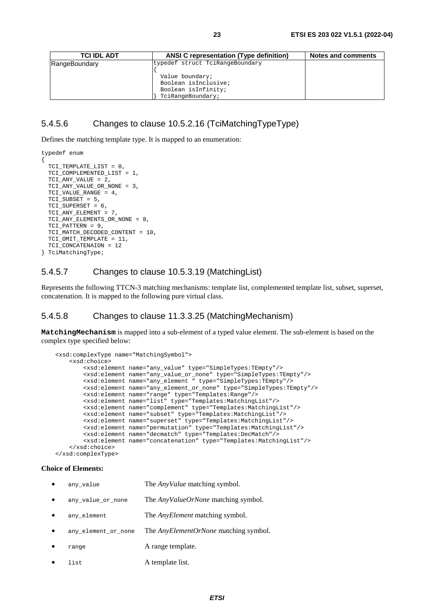<span id="page-22-0"></span>

| <b>TCI IDL ADT</b> | <b>ANSI C representation (Type definition)</b> | <b>Notes and comments</b> |
|--------------------|------------------------------------------------|---------------------------|
| RangeBoundary      | typedef struct TciRangeBoundary                |                           |
|                    |                                                |                           |
|                    | Value boundary;                                |                           |
|                    | Boolean isInclusive;                           |                           |
|                    | Boolean isInfinity;                            |                           |
|                    | TciRangeBoundary;                              |                           |

## 5.4.5.6 Changes to clause 10.5.2.16 (TciMatchingTypeType)

Defines the matching template type. It is mapped to an enumeration:

```
typedef enum 
{ 
 TCI_TEMPLATE_LIST = 0, 
  TCI_COMPLEMENTED_LIST = 1, 
  TCI_ANY_VALUE = 2, 
  TCI_ANY_VALUE_OR_NONE = 3, 
  TCI VALUE RANGE = 4,
 TCI_SUBSET = 5, 
  TCI_SUPERSET = 6, 
  TCI ANY ELEMENT = 7,
  TCI_ANY_ELEMENTS_OR_NONE = 8, 
  TCI_PATTERN = 9, 
  TCI_MATCH_DECODED_CONTENT = 10, 
  TCI_OMIT_TEMPLATE = 11, 
  TCI CONCATENAION = 12
} TciMatchingType;
```
## 5.4.5.7 Changes to clause 10.5.3.19 (MatchingList)

Represents the following TTCN-3 matching mechanisms: template list, complemented template list, subset, superset, concatenation. It is mapped to the following pure virtual class.

## 5.4.5.8 Changes to clause 11.3.3.25 (MatchingMechanism)

**MatchingMechanism** is mapped into a sub-element of a typed value element. The sub-element is based on the complex type specified below:

```
 <xsd:complexType name="MatchingSymbol"> 
        <xsd:choice> 
            <xsd:element name="any_value" type="SimpleTypes:TEmpty"/> 
 <xsd:element name="any_value_or_none" type="SimpleTypes:TEmpty"/> 
 <xsd:element name="any_element " type="SimpleTypes:TEmpty"/> 
            <xsd:element name="any_element_or_none" type="SimpleTypes:TEmpty"/> 
            <xsd:element name="range" type="Templates:Range"/> 
            <xsd:element name="list" type="Templates:MatchingList"/> 
            <xsd:element name="complement" type="Templates:MatchingList"/> 
 <xsd:element name="subset" type="Templates:MatchingList"/> 
 <xsd:element name="superset" type="Templates:MatchingList"/> 
            <xsd:element name="permutation" type="Templates:MatchingList"/> 
            <xsd:element name="decmatch" type="Templates:DecMatch"/> 
            <xsd:element name="concatenation" type="Templates:MatchingList"/> 
        </xsd:choice> 
    </xsd:complexType>
```
### **Choice of Elements:**

| any value           | The <i>AnyValue</i> matching symbol.         |
|---------------------|----------------------------------------------|
| any value_or_none   | The AnyValueOrNone matching symbol.          |
| any element         | The <i>AnyElement</i> matching symbol.       |
| any element or none | The <i>AnyElementOrNone</i> matching symbol. |
| range               | A range template.                            |
| list                | A template list.                             |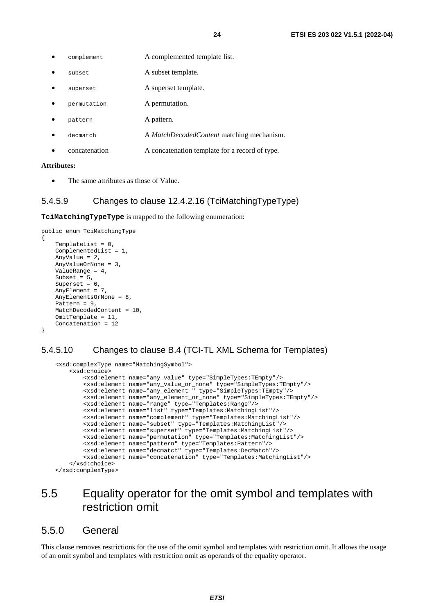- <span id="page-23-0"></span>complement A complemented template list.
- subset A subset template.
- superset A superset template.
- permutation A permutation.
- pattern A pattern.
- decmatch A *MatchDecodedContent* matching mechanism.
- concatenation A concatenation template for a record of type.

#### **Attributes:**

The same attributes as those of Value.

## 5.4.5.9 Changes to clause 12.4.2.16 (TciMatchingTypeType)

**TciMatchingTypeType** is mapped to the following enumeration:

```
public enum TciMatchingType 
{ 
    TemplateList = 0,
     ComplementedList = 1, 
     AnyValue = 2, 
     AnyValueOrNone = 3, 
     ValueRange = 4, 
    Subset = 5,
    Superset = 6,
     AnyElement = 7, 
     AnyElementsOrNone = 8, 
     Pattern = 9, 
     MatchDecodedContent = 10, 
     OmitTemplate = 11, 
     Concatenation = 12 
}
```
## 5.4.5.10 Changes to clause B.4 (TCI-TL XML Schema for Templates)

```
 <xsd:complexType name="MatchingSymbol"> 
     <xsd:choice> 
         <xsd:element name="any_value" type="SimpleTypes:TEmpty"/> 
         <xsd:element name="any_value_or_none" type="SimpleTypes:TEmpty"/> 
         <xsd:element name="any_element " type="SimpleTypes:TEmpty"/> 
         <xsd:element name="any_element_or_none" type="SimpleTypes:TEmpty"/> 
         <xsd:element name="range" type="Templates:Range"/> 
         <xsd:element name="list" type="Templates:MatchingList"/> 
         <xsd:element name="complement" type="Templates:MatchingList"/> 
         <xsd:element name="subset" type="Templates:MatchingList"/> 
         <xsd:element name="superset" type="Templates:MatchingList"/> 
         <xsd:element name="permutation" type="Templates:MatchingList"/> 
         <xsd:element name="pattern" type="Templates:Pattern"/> 
         <xsd:element name="decmatch" type="Templates:DecMatch"/> 
         <xsd:element name="concatenation" type="Templates:MatchingList"/> 
     </xsd:choice> 
 </xsd:complexType>
```
## 5.5 Equality operator for the omit symbol and templates with restriction omit

## 5.5.0 General

This clause removes restrictions for the use of the omit symbol and templates with restriction omit. It allows the usage of an omit symbol and templates with restriction omit as operands of the equality operator.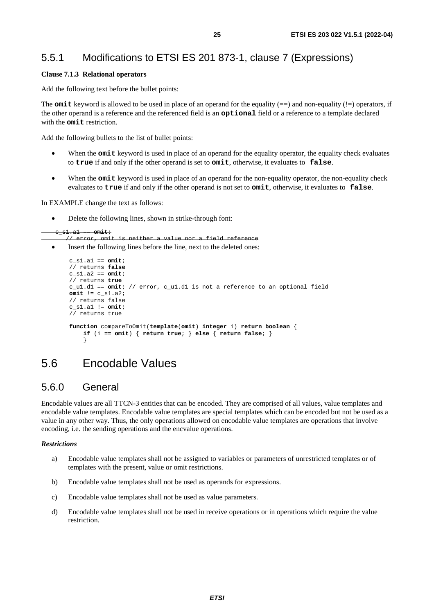## <span id="page-24-0"></span>5.5.1 Modifications to ETSI ES 201 873-1, clause 7 (Expressions)

## **Clause 7.1.3 Relational operators**

Add the following text before the bullet points:

The **omit** keyword is allowed to be used in place of an operand for the equality  $(==)$  and non-equality  $(!=)$  operators, if the other operand is a reference and the referenced field is an **optional** field or a reference to a template declared with the **omit** restriction.

Add the following bullets to the list of bullet points:

- When the **omit** keyword is used in place of an operand for the equality operator, the equality check evaluates to **true** if and only if the other operand is set to **omit**, otherwise, it evaluates to **false**.
- When the **omit** keyword is used in place of an operand for the non-equality operator, the non-equality check evaluates to **true** if and only if the other operand is not set to **omit**, otherwise, it evaluates to **false**.

In EXAMPLE change the text as follows:

• Delete the following lines, shown in strike-through font:

```
 c_s1.a1 == omit;
```

```
 // error, omit is neither a value nor a field reference
```
• Insert the following lines before the line, next to the deleted ones:

```
 c_s1.a1 == omit; 
         // returns false
         c_s1.a2 == omit; 
         // returns true 
         c_u1.d1 == omit; // error, c_u1.d1 is not a reference to an optional field 
         omit != c_s1.a2; 
         // returns false 
         c_s1.a1 != omit; 
         // returns true 
         function compareToOmit(template(omit) integer i) return boolean { 
             if (i == omit) { return true; } else { return false; } 
 }
```
## 5.6 Encodable Values

## 5.6.0 General

Encodable values are all TTCN-3 entities that can be encoded. They are comprised of all values, value templates and encodable value templates. Encodable value templates are special templates which can be encoded but not be used as a value in any other way. Thus, the only operations allowed on encodable value templates are operations that involve encoding, i.e. the sending operations and the encvalue operations.

## *Restrictions*

- a) Encodable value templates shall not be assigned to variables or parameters of unrestricted templates or of templates with the present, value or omit restrictions.
- b) Encodable value templates shall not be used as operands for expressions.
- c) Encodable value templates shall not be used as value parameters.
- d) Encodable value templates shall not be used in receive operations or in operations which require the value restriction.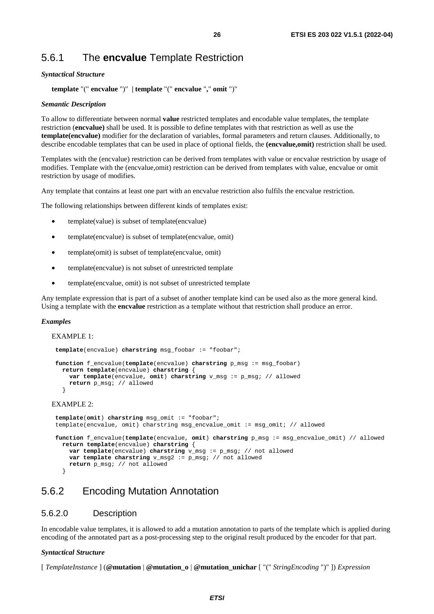## <span id="page-25-0"></span>5.6.1 The **encvalue** Template Restriction

### *Syntactical Structure*

**template** "(" **encvalue** ")" **| template** "(" **encvalue** "**,**" **omit** ")"

### *Semantic Description*

To allow to differentiate between normal **value** restricted templates and encodable value templates, the template restriction (**encvalue)** shall be used. It is possible to define templates with that restriction as well as use the **template(encvalue)** modifier for the declaration of variables, formal parameters and return clauses. Additionally, to describe encodable templates that can be used in place of optional fields, the **(encvalue,omit)** restriction shall be used.

Templates with the (encvalue) restriction can be derived from templates with value or encvalue restriction by usage of modifies. Template with the (encvalue,omit) restriction can be derived from templates with value, encvalue or omit restriction by usage of modifies.

Any template that contains at least one part with an encvalue restriction also fulfils the encvalue restriction.

The following relationships between different kinds of templates exist:

- template(value) is subset of template(encvalue)
- template(encvalue) is subset of template(encvalue, omit)
- template(omit) is subset of template(encyalue, omit)
- template(encvalue) is not subset of unrestricted template
- template(encvalue, omit) is not subset of unrestricted template

Any template expression that is part of a subset of another template kind can be used also as the more general kind. Using a template with the **encvalue** restriction as a template without that restriction shall produce an error.

#### *Examples*

EXAMPLE 1:

```
template(encvalue) charstring msg_foobar := "foobar"; 
   function f_encvalue(template(encvalue) charstring p_msg := msg_foobar) 
      return template(encvalue) charstring { 
        var template(encvalue, omit) charstring v_msg := p_msg; // allowed 
        return p_msg; // allowed 
 }
```
## EXAMPLE 2:

```
template(omit) charstring msg_omit := "foobar"; 
    template(encvalue, omit) charstring msg_encvalue_omit := msg_omit; // allowed 
   function f_encvalue(template(encvalue, omit) charstring p_msg := msg_encvalue_omit) // allowed 
      return template(encvalue) charstring { 
        var template(encvalue) charstring v_msg := p_msg; // not allowed 
        var template charstring v_msg2 := p_msg; // not allowed 
        return p_msg; // not allowed 
}
```
## 5.6.2 Encoding Mutation Annotation

## 5.6.2.0 Description

In encodable value templates, it is allowed to add a mutation annotation to parts of the template which is applied during encoding of the annotated part as a post-processing step to the original result produced by the encoder for that part.

#### *Syntactical Structure*

[ *TemplateInstance* ] (**@mutation** | **@mutation\_o** | **@mutation\_unichar** [ "(" *StringEncoding* ")" ]) *Expression*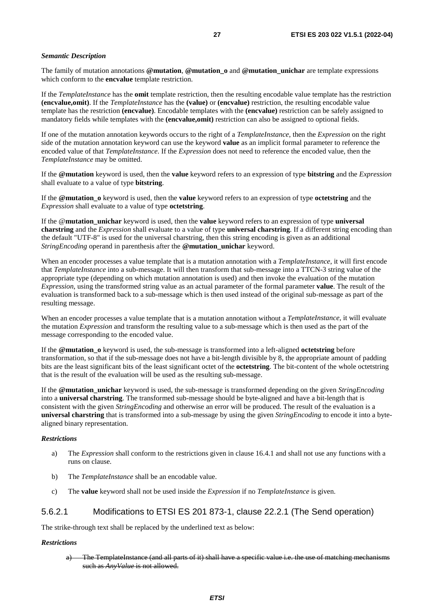### <span id="page-26-0"></span>*Semantic Description*

The family of mutation annotations **@mutation**, **@mutation\_o** and **@mutation\_unichar** are template expressions which conform to the **encvalue** template restriction.

If the *TemplateInstance* has the **omit** template restriction, then the resulting encodable value template has the restriction **(encvalue,omit)**. If the *TemplateInstance* has the **(value)** or **(encvalue)** restriction, the resulting encodable value template has the restriction **(encvalue)**. Encodable templates with the **(encvalue)** restriction can be safely assigned to mandatory fields while templates with the **(encvalue,omit)** restriction can also be assigned to optional fields.

If one of the mutation annotation keywords occurs to the right of a *TemplateInstance*, then the *Expression* on the right side of the mutation annotation keyword can use the keyword **value** as an implicit formal parameter to reference the encoded value of that *TemplateInstance*. If the *Expression* does not need to reference the encoded value, then the *TemplateInstance* may be omitted.

If the **@mutation** keyword is used, then the **value** keyword refers to an expression of type **bitstring** and the *Expression* shall evaluate to a value of type **bitstring**.

If the **@mutation\_o** keyword is used, then the **value** keyword refers to an expression of type **octetstring** and the *Expression* shall evaluate to a value of type **octetstring**.

If the @**mutation\_unichar** keyword is used, then the **value** keyword refers to an expression of type **universal charstring** and the *Expression* shall evaluate to a value of type **universal charstring**. If a different string encoding than the default "UTF-8" is used for the universal charstring, then this string encoding is given as an additional *StringEncoding* operand in parenthesis after the **@mutation\_unichar** keyword.

When an encoder processes a value template that is a mutation annotation with a *TemplateInstance*, it will first encode that *TemplateInstance* into a sub-message. It will then transform that sub-message into a TTCN-3 string value of the appropriate type (depending on which mutation annotation is used) and then invoke the evaluation of the mutation *Expression*, using the transformed string value as an actual parameter of the formal parameter **value**. The result of the evaluation is transformed back to a sub-message which is then used instead of the original sub-message as part of the resulting message.

When an encoder processes a value template that is a mutation annotation without a *TemplateInstance*, it will evaluate the mutation *Expression* and transform the resulting value to a sub-message which is then used as the part of the message corresponding to the encoded value.

If the **@mutation\_o** keyword is used, the sub-message is transformed into a left-aligned **octetstring** before transformation, so that if the sub-message does not have a bit-length divisible by 8, the appropriate amount of padding bits are the least significant bits of the least significant octet of the **octetstring**. The bit-content of the whole octetstring that is the result of the evaluation will be used as the resulting sub-message.

If the **@mutation\_unichar** keyword is used, the sub-message is transformed depending on the given *StringEncoding* into a **universal charstring**. The transformed sub-message should be byte-aligned and have a bit-length that is consistent with the given *StringEncoding* and otherwise an error will be produced. The result of the evaluation is a **universal charstring** that is transformed into a sub-message by using the given *StringEncoding* to encode it into a bytealigned binary representation.

### *Restrictions*

- a) The *Expression* shall conform to the restrictions given in clause 16.4.1 and shall not use any functions with a runs on clause.
- b) The *TemplateInstance* shall be an encodable value.
- c) The **value** keyword shall not be used inside the *Expression* if no *TemplateInstance* is given.

## 5.6.2.1 Modifications to ETSI ES 201 873-1, clause 22.2.1 (The Send operation)

The strike-through text shall be replaced by the underlined text as below:

#### *Restrictions*

a) The TemplateInstance (and all parts of it) shall have a specific value i.e. the use of matching mechanisms such as *AnyValue* is not allowed.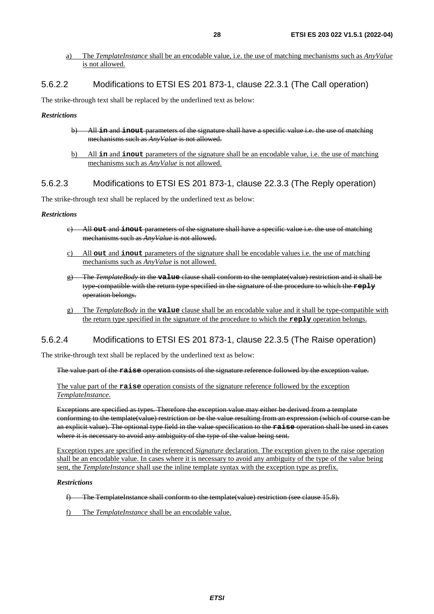<span id="page-27-0"></span>a) The *TemplateInstance* shall be an encodable value, i.e. the use of matching mechanisms such as *AnyValue* is not allowed.

## 5.6.2.2 Modifications to ETSI ES 201 873-1, clause 22.3.1 (The Call operation)

The strike-through text shall be replaced by the underlined text as below:

## *Restrictions*

- b) All **in** and **inout** parameters of the signature shall have a specific value i.e. the use of matching mechanisms such as *AnyValue* is not allowed.
- b) All **in** and **inout** parameters of the signature shall be an encodable value, i.e. the use of matching mechanisms such as *AnyValue* is not allowed.

## 5.6.2.3 Modifications to ETSI ES 201 873-1, clause 22.3.3 (The Reply operation)

The strike-through text shall be replaced by the underlined text as below:

### *Restrictions*

- c) All **out** and **inout** parameters of the signature shall have a specific value i.e. the use of matching mechanisms such as *AnyValue* is not allowed.
- c) All **out** and **inout** parameters of the signature shall be encodable values i.e. the use of matching mechanisms such as *AnyValue* is not allowed.
- g) The *TemplateBody* in the **value** clause shall conform to the template(value) restriction and it shall be type-compatible with the return type specified in the signature of the procedure to which the **reply** operation belongs.
- g) The *TemplateBody* in the **value** clause shall be an encodable value and it shall be type-compatible with the return type specified in the signature of the procedure to which the **reply** operation belongs.

## 5.6.2.4 Modifications to ETSI ES 201 873-1, clause 22.3.5 (The Raise operation)

The strike-through text shall be replaced by the underlined text as below:

The value part of the **raise** operation consists of the signature reference followed by the exception value.

The value part of the **raise** operation consists of the signature reference followed by the exception *TemplateInstance*.

Exceptions are specified as types. Therefore the exception value may either be derived from a template conforming to the template(value) restriction or be the value resulting from an expression (which of course can be an explicit value). The optional type field in the value specification to the **raise** operation shall be used in cases where it is necessary to avoid any ambiguity of the type of the value being sent.

Exception types are specified in the referenced *Signature* declaration. The exception given to the raise operation shall be an encodable value. In cases where it is necessary to avoid any ambiguity of the type of the value being sent, the *TemplateInstance* shall use the inline template syntax with the exception type as prefix.

### *Restrictions*

- f) The TemplateInstance shall conform to the template(value) restriction (see clause 15.8).
- f) The *TemplateInstance* shall be an encodable value.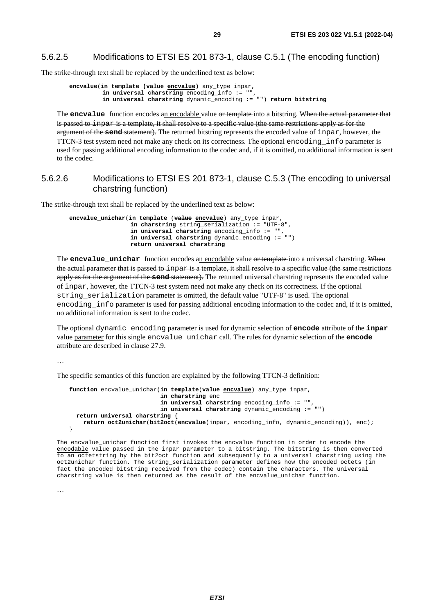## <span id="page-28-0"></span>5.6.2.5 Modifications to ETSI ES 201 873-1, clause C.5.1 (The encoding function)

The strike-through text shall be replaced by the underlined text as below:

```
 encvalue(in template (value encvalue) any_type inpar, 
          in universal charstring encoding_info := "", 
          in universal charstring dynamic_encoding := "") return bitstring
```
The **encvalue** function encodes an encodable value or template into a bitstring. When the actual parameter that is passed to inpar is a template, it shall resolve to a specific value (the same restrictions apply as for the argument of the **send** statement). The returned bitstring represents the encoded value of inpar, however, the TTCN-3 test system need not make any check on its correctness. The optional encoding\_info parameter is used for passing additional encoding information to the codec and, if it is omitted, no additional information is sent to the codec.

## 5.6.2.6 Modifications to ETSI ES 201 873-1, clause C.5.3 (The encoding to universal charstring function)

The strike-through text shall be replaced by the underlined text as below:

 **encvalue\_unichar**(**in template** (**value encvalue**) any\_type inpar, **in charstring** string\_serialization := "UTF-8", **in universal charstring** encoding\_info := "", **in universal charstring** dynamic\_encoding := "") **return universal charstring** 

The **encvalue\_unichar** function encodes an encodable value or template into a universal charstring. When the actual parameter that is passed to inpar is a template, it shall resolve to a specific value (the same restrictions apply as for the argument of the **send** statement). The returned universal charstring represents the encoded value of inpar, however, the TTCN-3 test system need not make any check on its correctness. If the optional string serialization parameter is omitted, the default value "UTF-8" is used. The optional encoding\_info parameter is used for passing additional encoding information to the codec and, if it is omitted, no additional information is sent to the codec.

The optional dynamic\_encoding parameter is used for dynamic selection of **encode** attribute of the **inpar** value parameter for this single encvalue\_unichar call. The rules for dynamic selection of the **encode** attribute are described in clause 27.9.

…

The specific semantics of this function are explained by the following TTCN-3 definition:

```
 function encvalue_unichar(in template(value encvalue) any_type inpar, 
                            in charstring enc 
                            in universal charstring encoding_info := "", 
                            in universal charstring dynamic_encoding := "") 
  return universal charstring { 
     return oct2unichar(bit2oct(encvalue(inpar, encoding_info, dynamic_encoding)), enc); 
 }
```
The encvalue\_unichar function first invokes the encvalue function in order to encode the encodable value passed in the inpar parameter to a bitstring. The bitstring is then converted to an octetstring by the bit2oct function and subsequently to a universal charstring using the oct2unichar function. The string\_serialization parameter defines how the encoded octets (in fact the encoded bitstring received from the codec) contain the characters. The universal charstring value is then returned as the result of the encvalue\_unichar function.

…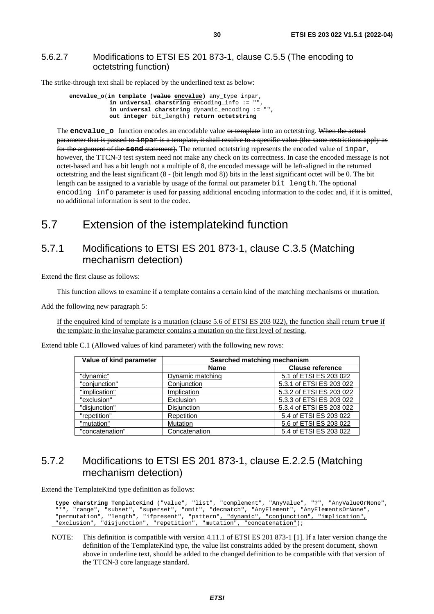## <span id="page-29-0"></span>5.6.2.7 Modifications to ETSI ES 201 873-1, clause C.5.5 (The encoding to octetstring function)

The strike-through text shall be replaced by the underlined text as below:

```
 encvalue_o(in template (value encvalue) any_type inpar, 
            in universal charstring encoding_info := ""
            in universal charstring dynamic_encoding := "", 
            out integer bit_length) return octetstring
```
The **encvalue\_o** function encodes an encodable value or template into an octetstring. When the actual parameter that is passed to inparis a template, it shall resolve to a specific value (the same restrictions apply as for the argument of the **send** statement). The returned octetstring represents the encoded value of inpar, however, the TTCN-3 test system need not make any check on its correctness. In case the encoded message is not octet-based and has a bit length not a multiple of 8, the encoded message will be left-aligned in the returned octetstring and the least significant (8 - (bit length mod 8)) bits in the least significant octet will be 0. The bit length can be assigned to a variable by usage of the formal out parameter bit\_length. The optional encoding info parameter is used for passing additional encoding information to the codec and, if it is omitted, no additional information is sent to the codec.

## 5.7 Extension of the istemplatekind function

## 5.7.1 Modifications to ETSI ES 201 873-1, clause C.3.5 (Matching mechanism detection)

Extend the first clause as follows:

This function allows to examine if a template contains a certain kind of the matching mechanisms or mutation.

Add the following new paragraph 5:

If the enquired kind of template is a mutation (clause 5.6 of ETSI ES 203 022), the function shall return **true** if the template in the invalue parameter contains a mutation on the first level of nesting.

| Value of kind parameter<br>Searched matching mechanism |                  |                          |
|--------------------------------------------------------|------------------|--------------------------|
|                                                        | <b>Name</b>      | <b>Clause reference</b>  |
| "dynamic"                                              | Dynamic matching | 5.1 of ETSI ES 203 022   |
| "conjunction"                                          | Conjunction      | 5.3.1 of ETSI ES 203 022 |
| "implication"                                          | Implication      | 5.3.2 of ETSI ES 203 022 |
| "exclusion"                                            | Exclusion        | 5.3.3 of ETSI ES 203 022 |
| "disjunction"                                          | Disjunction      | 5.3.4 of ETSI ES 203 022 |
| "repetition"                                           | Repetition       | 5.4 of ETSI ES 203 022   |
| "mutation"                                             | Mutation         | 5.6 of ETSI ES 203 022   |
| "concatenation"                                        | Concatenation    | 5.4 of ETSI ES 203 022   |

Extend table C.1 (Allowed values of kind parameter) with the following new rows:

## 5.7.2 Modifications to ETSI ES 201 873-1, clause E.2.2.5 (Matching mechanism detection)

Extend the TemplateKind type definition as follows:

```
 type charstring TemplateKind ("value", "list", "complement", "AnyValue", "?", "AnyValueOrNone", 
"*", "range", "subset", "superset", "omit", "decmatch", "AnyElement", "AnyElementsOrNone", 
"permutation", "length", "ifpresent", "pattern", "dynamic", "conjunction", "implication", 
 "exclusion", "disjunction", "repetition", "mutation", "concatenation");
```
NOTE: This definition is compatible with version 4.11.1 of ETSI ES 201 873-1 [[1\]](#page-5-0). If a later version change the definition of the TemplateKind type, the value list constraints added by the present document, shown above in underline text, should be added to the changed definition to be compatible with that version of the TTCN-3 core language standard.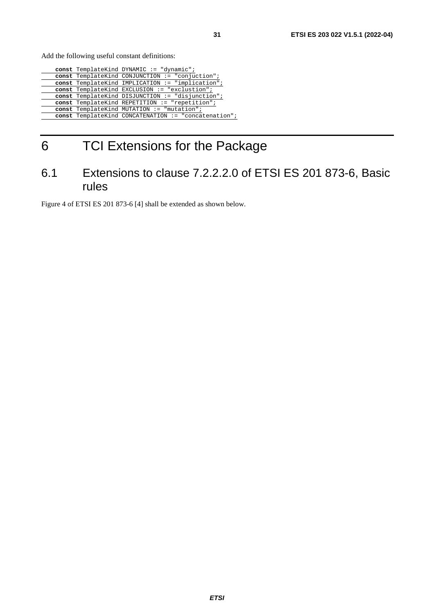<span id="page-30-0"></span>Add the following useful constant definitions:

|  | const TemplateKind DYNAMIC := "dynamic";             |
|--|------------------------------------------------------|
|  | const TemplateKind CONJUNCTION := "conjuction";      |
|  | const TemplateKind IMPLICATION := "implication";     |
|  | const TemplateKind EXCLUSION := "exclustion";        |
|  | const TemplateKind DISJUNCTION := "disjunction";     |
|  | const TemplateKind REPETITION := "repetition";       |
|  | const TemplateKind MUTATION := "mutation";           |
|  | const TemplateKind CONCATENATION := "concatenation"; |
|  |                                                      |

## 6 TCI Extensions for the Package

## 6.1 Extensions to clause 7.2.2.2.0 of ETSI ES 201 873-6, Basic rules

Figure 4 of ETSI ES 201 873-6 [[4](#page-5-0)] shall be extended as shown below.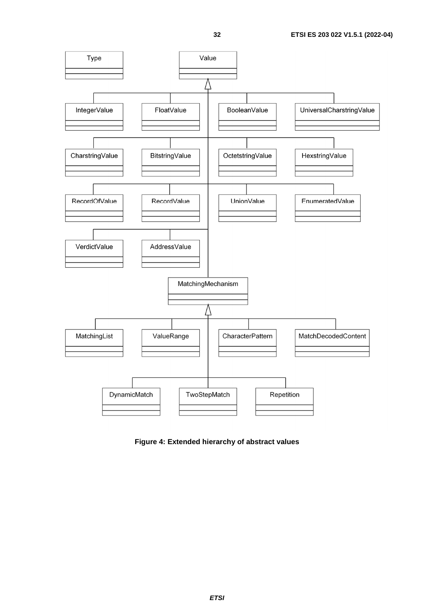

**Figure 4: Extended hierarchy of abstract values**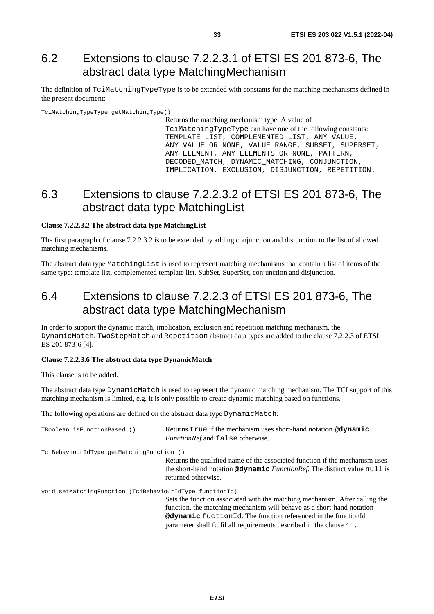## <span id="page-32-0"></span>6.2 Extensions to clause 7.2.2.3.1 of ETSI ES 201 873-6, The abstract data type MatchingMechanism

The definition of TciMatchingTypeType is to be extended with constants for the matching mechanisms defined in the present document:

TciMatchingTypeType getMatchingType()

Returns the matching mechanism type. A value of TciMatchingTypeType can have one of the following constants: TEMPLATE LIST, COMPLEMENTED LIST, ANY VALUE, ANY\_VALUE\_OR\_NONE, VALUE\_RANGE, SUBSET, SUPERSET, ANY\_ELEMENT, ANY\_ELEMENTS\_OR\_NONE, PATTERN, DECODED MATCH, DYNAMIC MATCHING, CONJUNCTION, IMPLICATION, EXCLUSION, DISJUNCTION, REPETITION.

## 6.3 Extensions to clause 7.2.2.3.2 of ETSI ES 201 873-6, The abstract data type MatchingList

### **Clause 7.2.2.3.2 The abstract data type MatchingList**

The first paragraph of clause 7.2.2.3.2 is to be extended by adding conjunction and disjunction to the list of allowed matching mechanisms.

The abstract data type MatchingList is used to represent matching mechanisms that contain a list of items of the same type: template list, complemented template list, SubSet, SuperSet, conjunction and disjunction.

## 6.4 Extensions to clause 7.2.2.3 of ETSI ES 201 873-6, The abstract data type MatchingMechanism

In order to support the dynamic match, implication, exclusion and repetition matching mechanism, the DynamicMatch, TwoStepMatch and Repetition abstract data types are added to the clause 7.2.2.3 of ETSI ES 201 873-6 [\[4\]](#page-5-0).

### **Clause 7.2.2.3.6 The abstract data type DynamicMatch**

This clause is to be added.

The abstract data type DynamicMatch is used to represent the dynamic matching mechanism. The TCI support of this matching mechanism is limited, e.g. it is only possible to create dynamic matching based on functions.

The following operations are defined on the abstract data type DynamicMatch:

| TBoolean isFunctionBased ()                              | Returns true if the mechanism uses short-hand notation @dynamic<br><i>FunctionRef</i> and false otherwise.                                                                                                                                                                                                      |
|----------------------------------------------------------|-----------------------------------------------------------------------------------------------------------------------------------------------------------------------------------------------------------------------------------------------------------------------------------------------------------------|
| TciBehaviourIdType getMatchingFunction ()                |                                                                                                                                                                                                                                                                                                                 |
|                                                          | Returns the qualified name of the associated function if the mechanism uses<br>the short-hand notation @dynamic <i>FunctionRef</i> . The distinct value null is<br>returned otherwise.                                                                                                                          |
| void setMatchingFunction (TciBehaviourIdType functionId) |                                                                                                                                                                                                                                                                                                                 |
|                                                          | Sets the function associated with the matching mechanism. After calling the<br>function, the matching mechanism will behave as a short-hand notation<br><b>@dynamic</b> fuction <sub>Id</sub> . The function referenced in the function<br>parameter shall fulfil all requirements described in the clause 4.1. |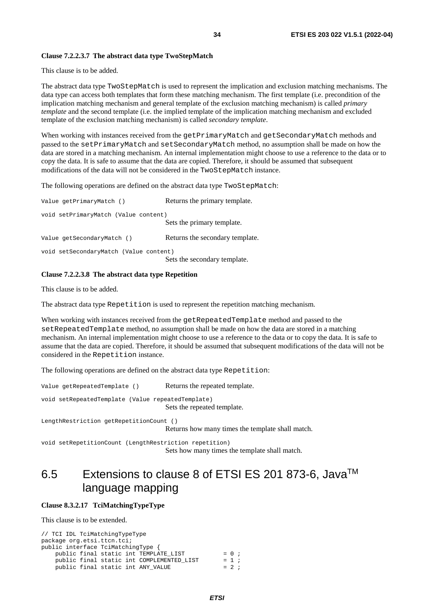### <span id="page-33-0"></span>**Clause 7.2.2.3.7 The abstract data type TwoStepMatch**

This clause is to be added.

The abstract data type TwoStepMatch is used to represent the implication and exclusion matching mechanisms. The data type can access both templates that form these matching mechanism. The first template (i.e. precondition of the implication matching mechanism and general template of the exclusion matching mechanism) is called *primary template* and the second template (i.e. the implied template of the implication matching mechanism and excluded template of the exclusion matching mechanism) is called *secondary template*.

When working with instances received from the getPrimaryMatch and getSecondaryMatch methods and passed to the setPrimaryMatch and setSecondaryMatch method, no assumption shall be made on how the data are stored in a matching mechanism. An internal implementation might choose to use a reference to the data or to copy the data. It is safe to assume that the data are copied. Therefore, it should be assumed that subsequent modifications of the data will not be considered in the TwoStepMatch instance.

The following operations are defined on the abstract data type TwoStepMatch:

| Value getPrimaryMatch ()               | Returns the primary template.   |
|----------------------------------------|---------------------------------|
| void setPrimaryMatch (Value content)   | Sets the primary template.      |
| Value getSecondaryMatch ()             | Returns the secondary template. |
| void setSecondaryMatch (Value content) | Sets the secondary template.    |

## **Clause 7.2.2.3.8 The abstract data type Repetition**

This clause is to be added.

The abstract data type Repetition is used to represent the repetition matching mechanism.

When working with instances received from the getRepeatedTemplate method and passed to the setRepeatedTemplate method, no assumption shall be made on how the data are stored in a matching mechanism. An internal implementation might choose to use a reference to the data or to copy the data. It is safe to assume that the data are copied. Therefore, it should be assumed that subsequent modifications of the data will not be considered in the Repetition instance.

The following operations are defined on the abstract data type Repetition:

Value getRepeatedTemplate () Returns the repeated template.

void setRepeatedTemplate (Value repeatedTemplate) Sets the repeated template.

LengthRestriction getRepetitionCount ()

Returns how many times the template shall match.

void setRepetitionCount (LengthRestriction repetition)

Sets how many times the template shall match.

## 6.5 Extensions to clause 8 of ETSI ES 201 873-6, JavaTM language mapping

## **Clause 8.3.2.17 TciMatchingTypeType**

This clause is to be extended.

| // TCI IDL TciMatchingTypeType            |         |
|-------------------------------------------|---------|
| package org.etsi.ttcn.tci;                |         |
| public interface TciMatchingType {        |         |
| public final static int TEMPLATE LIST     | $= 0;$  |
| public final static int COMPLEMENTED LIST | $= 1$   |
| public final static int ANY VALUE         | $= 2 :$ |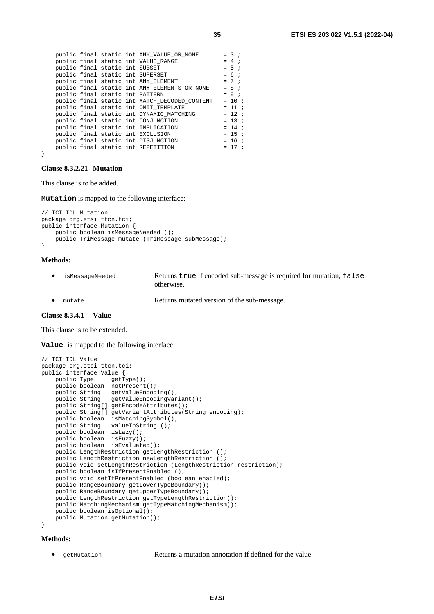|  |                                | public final static int ANY VALUE OR NONE     | $= 3$    |  |
|--|--------------------------------|-----------------------------------------------|----------|--|
|  |                                | public final static int VALUE_RANGE           | $= 4$    |  |
|  | public final static int SUBSET |                                               | $= 5$ ;  |  |
|  |                                | public final static int SUPERSET              | $= 6 ;$  |  |
|  |                                | public final static int ANY_ELEMENT           | $= 7$ ;  |  |
|  |                                | public final static int ANY ELEMENTS OR NONE  | $= 8$ ;  |  |
|  |                                | public final static int PATTERN               | $= 9$ ;  |  |
|  |                                | public final static int MATCH DECODED CONTENT | $= 10$ ; |  |
|  |                                | public final static int OMIT TEMPLATE         | $= 11$ ; |  |
|  |                                | public final static int DYNAMIC MATCHING      | $= 12$ ; |  |
|  |                                | public final static int CONJUNCTION           | $= 13$ ; |  |
|  |                                | public final static int IMPLICATION           | $= 14$ ; |  |
|  |                                | public final static int EXCLUSION             | $= 15$ ; |  |
|  |                                | public final static int DISJUNCTION           | $= 16$ ; |  |
|  |                                | public final static int REPETITION            | $= 17$ ; |  |
|  |                                |                                               |          |  |

### **Clause 8.3.2.21 Mutation**

This clause is to be added.

**Mutation** is mapped to the following interface:

```
// TCI IDL Mutation 
package org.etsi.ttcn.tci; 
public interface Mutation { 
     public boolean isMessageNeeded (); 
     public TriMessage mutate (TriMessage subMessage); 
}
```
### **Methods:**

}

- isMessageNeeded Returns true if encoded sub-message is required for mutation, false otherwise.
- mutate Returns mutated version of the sub-message.

### **Clause 8.3.4.1 Value**

This clause is to be extended.

**Value** is mapped to the following interface:

```
// TCI IDL Value 
package org.etsi.ttcn.tci; 
public interface Value { 
   public Type getType();
    public boolean notPresent(); 
 public String getValueEncoding(); 
 public String getValueEncodingVariant(); 
    public String[] getEncodeAttributes(); 
    public String[] getVariantAttributes(String encoding); 
    public boolean isMatchingSymbol(); 
 public String valueToString (); 
 public boolean isLazy(); 
 public boolean isFuzzy(); 
 public boolean isEvaluated(); 
    public LengthRestriction getLengthRestriction (); 
     public LengthRestriction newLengthRestriction (); 
    public void setLengthRestriction (LengthRestriction restriction); 
     public boolean isIfPresentEnabled (); 
     public void setIfPresentEnabled (boolean enabled); 
   public RangeBoundary getLowerTypeBoundary();
    public RangeBoundary getUpperTypeBoundary();
    public LengthRestriction getTypeLengthRestriction(); 
    public MatchingMechanism getTypeMatchingMechanism(); 
     public boolean isOptional(); 
    public Mutation getMutation(); 
}
```
#### **Methods:**

• getMutation Returns a mutation annotation if defined for the value.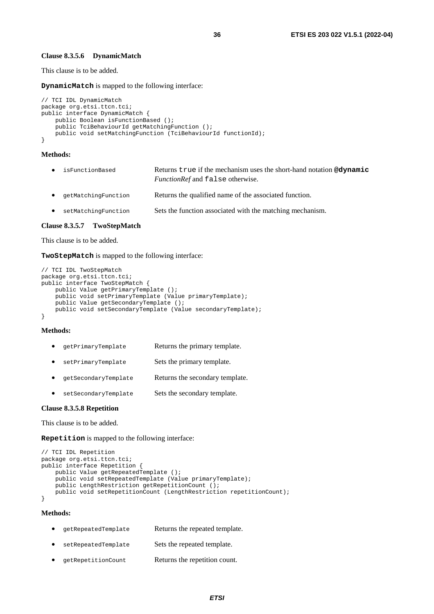#### **Clause 8.3.5.6 DynamicMatch**

This clause is to be added.

**DynamicMatch** is mapped to the following interface:

```
// TCI IDL DynamicMatch 
package org.etsi.ttcn.tci;
public interface DynamicMatch { 
    public Boolean isFunctionBased (); 
     public TciBehaviourId getMatchingFunction (); 
    public void setMatchingFunction (TciBehaviourId functionId); 
}
```
#### **Methods:**

| $\bullet$ | isFunctionBased       | Returns true if the mechanism uses the short-hand notation <b>@dynamic</b><br><i>FunctionRef</i> and false otherwise. |
|-----------|-----------------------|-----------------------------------------------------------------------------------------------------------------------|
|           | • qetMatchingFunction | Returns the qualified name of the associated function.                                                                |
|           | • setMatchingFunction | Sets the function associated with the matching mechanism.                                                             |

#### **Clause 8.3.5.7 TwoStepMatch**

This clause is to be added.

**TwoStepMatch** is mapped to the following interface:

```
// TCI IDL TwoStepMatch 
package org.etsi.ttcn.tci; 
public interface TwoStepMatch { 
     public Value getPrimaryTemplate (); 
    public void setPrimaryTemplate (Value primaryTemplate); 
     public Value getSecondaryTemplate (); 
     public void setSecondaryTemplate (Value secondaryTemplate); 
}
```
## **Methods:**

- getPrimaryTemplate Returns the primary template.
- setPrimaryTemplate Sets the primary template.
- getSecondaryTemplate Returns the secondary template.
- setSecondaryTemplate Sets the secondary template.

### **Clause 8.3.5.8 Repetition**

This clause is to be added.

**Repetition** is mapped to the following interface:

```
// TCI IDL Repetition 
package org.etsi.ttcn.tci; 
public interface Repetition { 
     public Value getRepeatedTemplate (); 
     public void setRepeatedTemplate (Value primaryTemplate); 
     public LengthRestriction getRepetitionCount (); 
     public void setRepetitionCount (LengthRestriction repetitionCount); 
}
```
### **Methods:**

| $\bullet$ | qetRepeatedTemplate | Returns the repeated template. |
|-----------|---------------------|--------------------------------|
| $\bullet$ | setRepeatedTemplate | Sets the repeated template.    |
| $\bullet$ | qetRepetitionCount  | Returns the repetition count.  |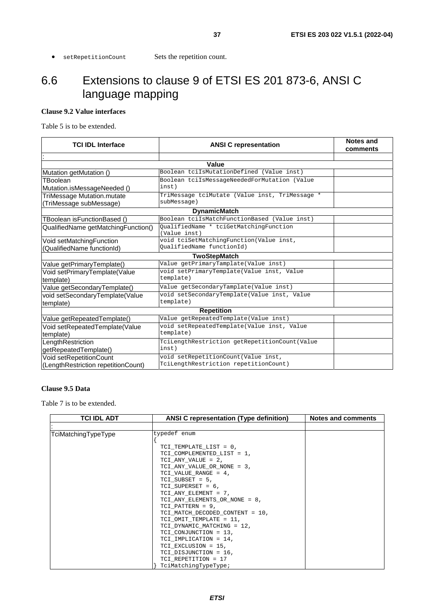<span id="page-36-0"></span>• setRepetitionCount Sets the repetition count.

## 6.6 Extensions to clause 9 of ETSI ES 201 873-6, ANSI C language mapping

## **Clause 9.2 Value interfaces**

Table 5 is to be extended.

| <b>TCI IDL Interface</b>            | <b>ANSI C representation</b>                   | <b>Notes and</b><br>comments |  |  |  |
|-------------------------------------|------------------------------------------------|------------------------------|--|--|--|
|                                     |                                                |                              |  |  |  |
|                                     | Value                                          |                              |  |  |  |
| Mutation getMutation ()             | Boolean tciIsMutationDefined (Value inst)      |                              |  |  |  |
| TBoolean                            | Boolean tciIsMessageNeededForMutation (Value   |                              |  |  |  |
| Mutation.isMessageNeeded ()         | inst)                                          |                              |  |  |  |
| TriMessage Mutation.mutate          | TriMessage tciMutate (Value inst, TriMessage * |                              |  |  |  |
| (TriMessage subMessage)             | subMessage)                                    |                              |  |  |  |
|                                     | <b>DynamicMatch</b>                            |                              |  |  |  |
| TBoolean isFunctionBased ()         | Boolean tciIsMatchFunctionBased (Value inst)   |                              |  |  |  |
| QualifiedName getMatchingFunction() | OualifiedName * tciGetMatchingFunction         |                              |  |  |  |
|                                     | (Value inst)                                   |                              |  |  |  |
| Void setMatchingFunction            | void tciSetMatchingFunction(Value inst,        |                              |  |  |  |
| (QualifiedName functionId)          | OualifiedName functionId)                      |                              |  |  |  |
| <b>TwoStepMatch</b>                 |                                                |                              |  |  |  |
| Value getPrimaryTemplate()          | Value getPrimaryTamplate(Value inst)           |                              |  |  |  |
| Void setPrimaryTemplate(Value       | void setPrimaryTemplate(Value inst, Value      |                              |  |  |  |
| template)                           | template)                                      |                              |  |  |  |
| Value getSecondaryTemplate()        | Value getSecondaryTamplate(Value inst)         |                              |  |  |  |
| void setSecondaryTemplate(Value     | void setSecondaryTemplate(Value inst, Value    |                              |  |  |  |
| template)                           | template)                                      |                              |  |  |  |
| <b>Repetition</b>                   |                                                |                              |  |  |  |
| Value getRepeatedTemplate()         | Value getRepeatedTemplate(Value inst)          |                              |  |  |  |
| Void setRepeatedTemplate(Value      | void setRepeatedTemplate(Value inst, Value     |                              |  |  |  |
| template)                           | template)                                      |                              |  |  |  |
| LengthRestriction                   | TciLengthRestriction getRepetitionCount(Value  |                              |  |  |  |
| getRepeatedTemplate()               | inst)                                          |                              |  |  |  |
| Void setRepetitionCount             | void setRepetitionCount (Value inst,           |                              |  |  |  |
| (LengthRestriction repetitionCount) | TciLengthRestriction repetitionCount)          |                              |  |  |  |

## **Clause 9.5 Data**

Table 7 is to be extended.

| <b>TCI IDL ADT</b>  | <b>ANSI C representation (Type definition)</b> | Notes and comments |
|---------------------|------------------------------------------------|--------------------|
|                     |                                                |                    |
| TciMatchingTypeType | typedef enum                                   |                    |
|                     |                                                |                    |
|                     | TCI TEMPLATE LIST = 0,                         |                    |
|                     | TCI COMPLEMENTED LIST = 1,                     |                    |
|                     | TCI ANY VALUE = 2,                             |                    |
|                     | TCI ANY VALUE OR NONE = 3,                     |                    |
|                     | TCI_VALUE_RANGE = 4,                           |                    |
|                     | TCI SUBSET = $5$ ,                             |                    |
|                     | TCI SUPERSET = 6,                              |                    |
|                     | TCI ANY ELEMENT = 7,                           |                    |
|                     | TCI_ANY_ELEMENTS_OR_NONE = 8,                  |                    |
|                     | TCI PATTERN = $9$ ,                            |                    |
|                     | TCI MATCH DECODED CONTENT = 10,                |                    |
|                     | TCI OMIT TEMPLATE = 11,                        |                    |
|                     | TCI DYNAMIC MATCHING = 12,                     |                    |
|                     | TCI CONJUNCTION = 13,                          |                    |
|                     | TCI IMPLICATION = 14,                          |                    |
|                     | TCI EXCLUSION = 15,                            |                    |
|                     | TCI DISJUNCTION = 16,                          |                    |
|                     | TCI REPETITION = 17                            |                    |
|                     | TciMatchingTypeType;                           |                    |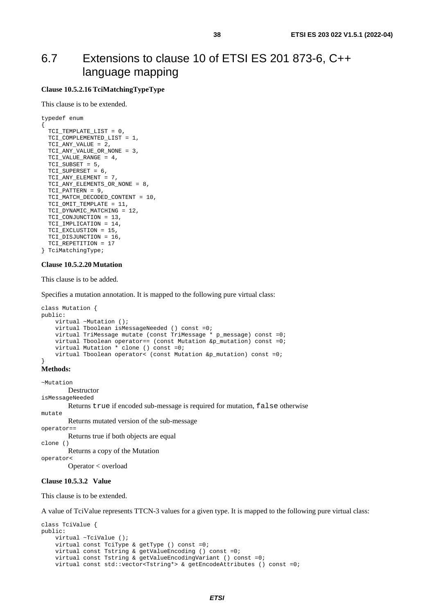## <span id="page-37-0"></span>6.7 Extensions to clause 10 of ETSI ES 201 873-6, C++ language mapping

## **Clause 10.5.2.16 TciMatchingTypeType**

This clause is to be extended.

```
typedef enum 
{ 
   TCI_TEMPLATE_LIST = 0, 
  TCI COMPLEMENTED LIST = 1,
   TCI_ANY_VALUE = 2, 
   TCI_ANY_VALUE_OR_NONE = 3, 
  TCI VALUE RANGE = 4,
   TCI_SUBSET = 5, 
  TCI SUPERSET = 6,
   TCI_ANY_ELEMENT = 7, 
   TCI_ANY_ELEMENTS_OR_NONE = 8, 
  TCI PATTERN = 9,
  TCI_MATCH_DECODED_CONTENT = 10, 
   TCI_OMIT_TEMPLATE = 11, 
   TCI_DYNAMIC_MATCHING = 12, 
  TCI_CONJUNCTION = 13, 
  TCI IMPLICATION = 14,
   TCI_EXCLUSTION = 15, 
   TCI_DISJUNCTION = 16, 
   TCI_REPETITION = 17 
} TciMatchingType;
```
### **Clause 10.5.2.20 Mutation**

This clause is to be added.

Specifies a mutation annotation. It is mapped to the following pure virtual class:

```
class Mutation { 
public: 
     virtual ~Mutation (); 
     virtual Tboolean isMessageNeeded () const =0; 
     virtual TriMessage mutate (const TriMessage * p_message) const =0; 
     virtual Tboolean operator== (const Mutation &p_mutation) const =0; 
    virtual Mutation \stackrel{\leftarrow}{\star} clone () const =0;
     virtual Tboolean operator< (const Mutation &p_mutation) const =0; 
}
```
**Methods:** 

```
~Mutation 
         Destructor
isMessageNeeded 
          Returns true if encoded sub-message is required for mutation, false otherwise 
mutate 
          Returns mutated version of the sub-message 
operator== 
          Returns true if both objects are equal 
clone () 
          Returns a copy of the Mutation 
operator< 
          Operator < overload 
Clause 10.5.3.2 Value
```
This clause is to be extended.

A value of TciValue represents TTCN-3 values for a given type. It is mapped to the following pure virtual class:

```
class TciValue { 
public: 
     virtual ~TciValue (); 
     virtual const TciType & getType () const =0; 
     virtual const Tstring & getValueEncoding () const =0; 
     virtual const Tstring & getValueEncodingVariant () const =0; 
     virtual const std::vector<Tstring*> & getEncodeAttributes () const =0;
```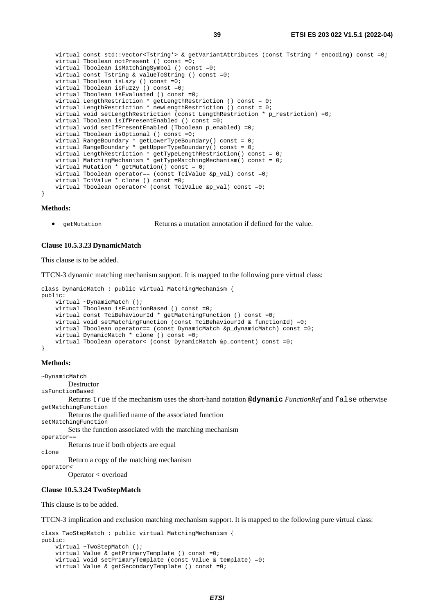virtual const std::vector<Tstring\*> & getVariantAttributes (const Tstring \* encoding) const =0; virtual Tboolean notPresent () const =0; virtual Tboolean isMatchingSymbol () const =0; virtual const Tstring & valueToString () const =0; virtual Tboolean isLazy () const =0; virtual Tboolean isFuzzy () const =0; virtual Tboolean isEvaluated () const =0; virtual LengthRestriction \* getLengthRestriction () const = 0; virtual LengthRestriction \* newLengthRestriction () const = 0; virtual void setLengthRestriction (const LengthRestriction \* p\_restriction) =0; virtual Tboolean isIfPresentEnabled () const =0; virtual void setIfPresentEnabled (Tboolean p\_enabled) =0; virtual Tboolean isOptional () const =0; virtual RangeBoundary \* getLowerTypeBoundary() const = 0; virtual RangeBoundary \* getUpperTypeBoundary() const = 0; virtual LengthRestriction \* getTypeLengthRestriction() const = 0; virtual MatchingMechanism \* getTypeMatchingMechanism() const = 0; virtual Mutation \* getMutation() const = 0; virtual Tboolean operator== (const TciValue &p\_val) const =0; virtual TciValue \* clone () const =0; virtual Tboolean operator< (const TciValue &p\_val) const =0;

#### **Methods:**

}

• getMutation Returns a mutation annotation if defined for the value.

#### **Clause 10.5.3.23 DynamicMatch**

This clause is to be added.

TTCN-3 dynamic matching mechanism support. It is mapped to the following pure virtual class:

```
class DynamicMatch : public virtual MatchingMechanism { 
public: 
     virtual ~DynamicMatch (); 
     virtual Tboolean isFunctionBased () const =0; 
     virtual const TciBehaviourId * getMatchingFunction () const =0; 
     virtual void setMatchingFunction (const TciBehaviourId & functionId) =0; 
     virtual Tboolean operator== (const DynamicMatch &p_dynamicMatch) const =0; 
     virtual DynamicMatch * clone () const =0; 
     virtual Tboolean operator< (const DynamicMatch &p_content) const =0; 
}
```
### **Methods:**

~DynamicMatch

 Destructor isFunctionBased

 Returns true if the mechanism uses the short-hand notation **@dynamic** *FunctionRef* and false otherwise getMatchingFunction

Returns the qualified name of the associated function

setMatchingFunction

 Sets the function associated with the matching mechanism operator==

```
 Returns true if both objects are equal
```
Return a copy of the matching mechanism

```
operator<
```
clone

Operator < overload

### **Clause 10.5.3.24 TwoStepMatch**

This clause is to be added.

TTCN-3 implication and exclusion matching mechanism support. It is mapped to the following pure virtual class:

```
class TwoStepMatch : public virtual MatchingMechanism { 
public: 
     virtual ~TwoStepMatch (); 
     virtual Value & getPrimaryTemplate () const =0; 
     virtual void setPrimaryTemplate (const Value & template) =0; 
     virtual Value & getSecondaryTemplate () const =0;
```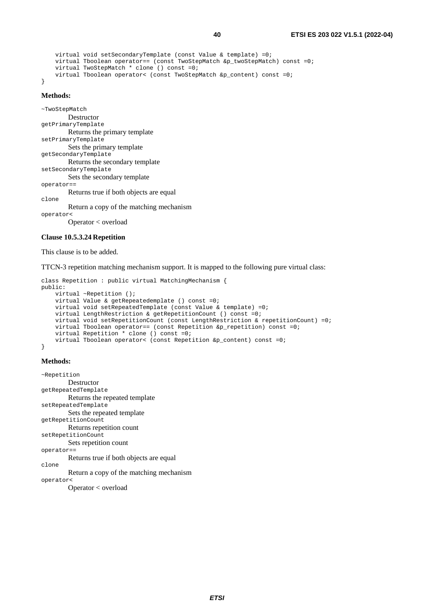```
 virtual void setSecondaryTemplate (const Value & template) =0; 
   virtual Tboolean operator== (const TwoStepMatch &p_twoStepMatch) const =0;
    virtual TwoStepMatch * clone () const =0; 
    virtual Tboolean operator< (const TwoStepMatch &p_content) const =0; 
}
```
#### **Methods:**

```
~TwoStepMatch 
          Destructor 
getPrimaryTemplate 
          Returns the primary template 
setPrimaryTemplate 
          Sets the primary template 
getSecondaryTemplate 
          Returns the secondary template 
setSecondaryTemplate 
          Sets the secondary template 
operator== 
          Returns true if both objects are equal 
clone 
          Return a copy of the matching mechanism 
operator< 
          Operator < overload
```
#### **Clause 10.5.3.24 Repetition**

This clause is to be added.

### TTCN-3 repetition matching mechanism support. It is mapped to the following pure virtual class:

```
class Repetition : public virtual MatchingMechanism { 
public: 
     virtual ~Repetition (); 
     virtual Value & getRepeatedemplate () const =0; 
     virtual void setRepeatedTemplate (const Value & template) =0; 
     virtual LengthRestriction & getRepetitionCount () const =0; 
     virtual void setRepetitionCount (const LengthRestriction & repetitionCount) =0; 
     virtual Tboolean operator== (const Repetition &p_repetition) const =0; 
     virtual Repetition * clone () const =0; 
     virtual Tboolean operator< (const Repetition &p_content) const =0; 
}
```
#### **Methods:**

```
~Repetition 
          Destructor 
getRepeatedTemplate 
          Returns the repeated template 
setRepeatedTemplate 
          Sets the repeated template 
getRepetitionCount 
          Returns repetition count 
setRepetitionCount 
          Sets repetition count 
operator== 
          Returns true if both objects are equal 
clone 
          Return a copy of the matching mechanism 
operator<
```
Operator < overload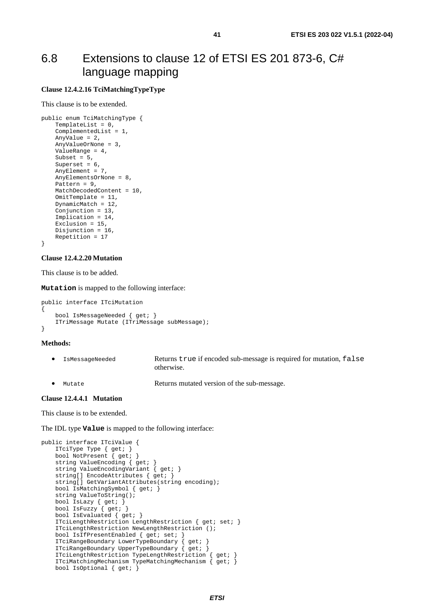## <span id="page-40-0"></span>6.8 Extensions to clause 12 of ETSI ES 201 873-6, C# language mapping

### **Clause 12.4.2.16 TciMatchingTypeType**

This clause is to be extended.

```
public enum TciMatchingType { 
     TemplateList = 0, 
     ComplementedList = 1, 
     AnyValue = 2, 
     AnyValueOrNone = 3, 
     ValueRange = 4, 
    Subset = 5,
    Superset = 6,
    AnyElement = 7,
     AnyElementsOrNone = 8, 
    Pattern = 9,
     MatchDecodedContent = 10, 
     OmitTemplate = 11, 
     DynamicMatch = 12, 
     Conjunction = 13, 
     Implication = 14, 
    Exclusion = 15,
     Disjunction = 16, 
     Repetition = 17 
}
```
### **Clause 12.4.2.20 Mutation**

This clause is to be added.

**Mutation** is mapped to the following interface:

```
public interface ITciMutation 
{ 
     bool IsMessageNeeded { get; } 
     ITriMessage Mutate (ITriMessage subMessage); 
}
```
#### **Methods:**

- IsMessageNeeded Returns true if encoded sub-message is required for mutation, false otherwise.
- Mutate **Returns mutated version of the sub-message.**

### **Clause 12.4.4.1 Mutation**

This clause is to be extended.

The IDL type **Value** is mapped to the following interface:

```
public interface ITciValue { 
     ITciType Type { get; } 
     bool NotPresent { get; } 
    string ValueEncoding { get;
    string ValueEncodingVariant { get; }
    string[] EncodeAttributes { get;
     string[] GetVariantAttributes(string encoding); 
    bool IsMatchingSymbol { get; } 
    string ValueToString();
    bool IsLazy { get; } 
     bool IsFuzzy { get; } 
     bool IsEvaluated { get; } 
     ITciLengthRestriction LengthRestriction { get; set; } 
     ITciLengthRestriction NewLengthRestriction (); 
   bool IsIfPresentEnabled { get; set;
     ITciRangeBoundary LowerTypeBoundary { get; } 
     ITciRangeBoundary UpperTypeBoundary { get; } 
     ITciLengthRestriction TypeLengthRestriction { get; } 
     ITciMatchingMechanism TypeMatchingMechanism { get; } 
     bool IsOptional { get; }
```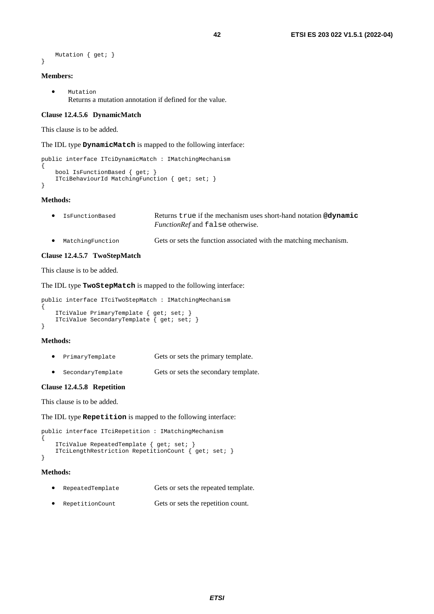```
 Mutation { get; }
```
## }

## **Members:**

• Mutation Returns a mutation annotation if defined for the value.

## **Clause 12.4.5.6 DynamicMatch**

This clause is to be added.

### The IDL type **DynamicMatch** is mapped to the following interface:

```
public interface ITciDynamicMatch : IMatchingMechanism 
{ 
     bool IsFunctionBased { get; } 
     ITciBehaviourId MatchingFunction { get; set; } 
}
```
### **Methods:**

| $\bullet$ | IsFunctionBased  | Returns true if the mechanism uses short-hand notation @dynamic   |
|-----------|------------------|-------------------------------------------------------------------|
|           |                  | <i>FunctionRef</i> and false otherwise.                           |
| $\bullet$ | MatchingFunction | Gets or sets the function associated with the matching mechanism. |

#### **Clause 12.4.5.7 TwoStepMatch**

This clause is to be added.

The IDL type **TwoStepMatch** is mapped to the following interface:

```
public interface ITciTwoStepMatch : IMatchingMechanism
```

```
{ 
     ITciValue PrimaryTemplate { get; set; } 
    ITciValue SecondaryTemplate { get; set; }
}
```
### **Methods:**

- PrimaryTemplate Gets or sets the primary template.
- SecondaryTemplate Gets or sets the secondary template.

### **Clause 12.4.5.8 Repetition**

This clause is to be added.

The IDL type **Repetition** is mapped to the following interface:

```
public interface ITciRepetition : IMatchingMechanism 
{ 
     ITciValue RepeatedTemplate { get; set; } 
    ITciLengthRestriction RepetitionCount { get; set; }
}
```
#### **Methods:**

- RepeatedTemplate Gets or sets the repeated template.
- RepetitionCount Gets or sets the repetition count.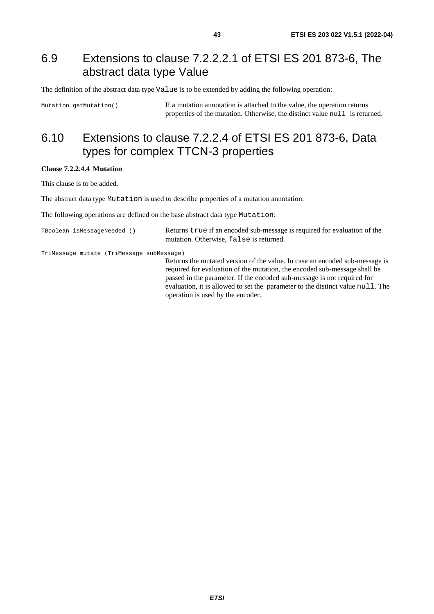## <span id="page-42-0"></span>6.9 Extensions to clause 7.2.2.2.1 of ETSI ES 201 873-6, The abstract data type Value

The definition of the abstract data type Value is to be extended by adding the following operation:

Mutation getMutation() If a mutation annotation is attached to the value, the operation returns properties of the mutation. Otherwise, the distinct value null is returned.

## 6.10 Extensions to clause 7.2.2.4 of ETSI ES 201 873-6, Data types for complex TTCN-3 properties

## **Clause 7.2.2.4.4 Mutation**

This clause is to be added.

The abstract data type Mutation is used to describe properties of a mutation annotation.

The following operations are defined on the base abstract data type Mutation:

| TBoolean isMessageNeeded () | Returns true if an encoded sub-message is required for evaluation of the |
|-----------------------------|--------------------------------------------------------------------------|
|                             | mutation. Otherwise, false is returned.                                  |

TriMessage mutate (TriMessage subMessage)

Returns the mutated version of the value. In case an encoded sub-message is required for evaluation of the mutation, the encoded sub-message shall be passed in the parameter. If the encoded sub-message is not required for evaluation, it is allowed to set the parameter to the distinct value null. The operation is used by the encoder.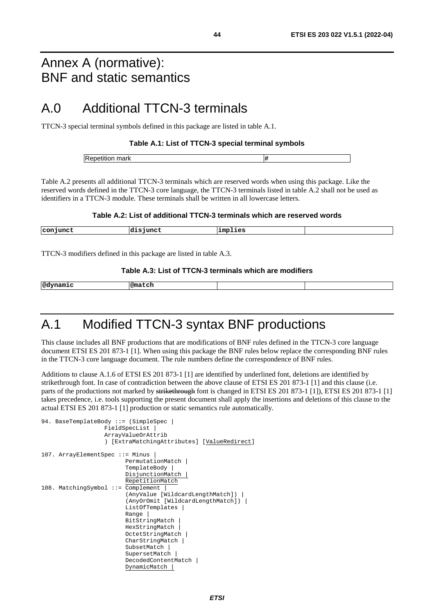## <span id="page-43-0"></span>Annex A (normative): BNF and static semantics

## A.0 Additional TTCN-3 terminals

TTCN-3 special terminal symbols defined in this package are listed in table A.1.

### **Table A.1: List of TTCN-3 special terminal symbols**

| . . |
|-----|
|     |

Table A.2 presents all additional TTCN-3 terminals which are reserved words when using this package. Like the reserved words defined in the TTCN-3 core language, the TTCN-3 terminals listed in table A.2 shall not be used as identifiers in a TTCN-3 module. These terminals shall be written in all lowercase letters.

### **Table A.2: List of additional TTCN-3 terminals which are reserved words**

| conjunct | -------<br>حتە<br>nunct | implies |  |
|----------|-------------------------|---------|--|
|          |                         |         |  |

TTCN-3 modifiers defined in this package are listed in table A.3.

### **Table A.3: List of TTCN-3 terminals which are modifiers**

|  | @dy<br>mamıc | l@match |  |  |
|--|--------------|---------|--|--|
|--|--------------|---------|--|--|

## A.1 Modified TTCN-3 syntax BNF productions

This clause includes all BNF productions that are modifications of BNF rules defined in the TTCN-3 core language document ETSI ES 201 873-1 [[1\]](#page-5-0). When using this package the BNF rules below replace the corresponding BNF rules in the TTCN-3 core language document. The rule numbers define the correspondence of BNF rules.

Additions to clause A.1.6 of ETSI ES 201 873-1 [\[1](#page-5-0)] are identified by underlined font, deletions are identified by strikethrough font. In case of contradiction between the above clause of ETSI ES 201 873-1 [[1\]](#page-5-0) and this clause (i.e. parts of the productions not marked by strikethrough font is changed in ETSI ES 201 873-1 [\[1](#page-5-0)]), ETSI ES 201 873-1 [1] takes precedence, i.e. tools supporting the present document shall apply the insertions and deletions of this clause to the actual ETSI ES 201 873-1 [[1](#page-5-0)] production or static semantics rule automatically.

```
94. BaseTemplateBody ::= (SimpleSpec |
                     FieldSpecList | 
                     ArrayValueOrAttrib 
                     ) [ExtraMatchingAttributes] [ValueRedirect] 
107. ArrayElementSpec ::= Minus
                           PermutationMatch | 
                           TemplateBody | 
                           DisjunctionMatch | 
                           RepetitionMatch 
108. MatchingSymbol ::= Complement
                            (AnyValue [WildcardLengthMatch]) | 
                           (AnyOrOmit [WildcardLengthMatch]) | 
                           ListOfTemplates | 
                          Range |
                           BitStringMatch | 
                           HexStringMatch | 
                           OctetStringMatch | 
                           CharStringMatch | 
                           SubsetMatch | 
                           SupersetMatch | 
                           DecodedContentMatch | 
                           DynamicMatch |
```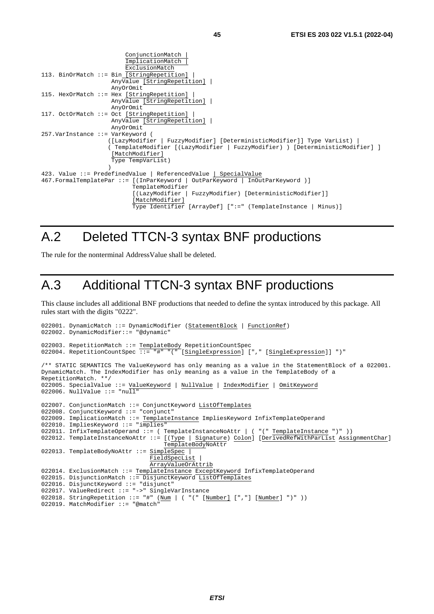```
 ConjunctionMatch | 
                          ImplicationMatch | 
                         ExclusionMatch 
113. BinOrMatch ::= Bin [StringRepetition]
                     AnyValue [StringRepetition] | 
                     AnyOrOmit 
115. HexOrMatch ::= Hex [StringRepetition]
                     AnyValue [StringRepetition] | 
                     AnyOrOmit 
117. OctOrMatch ::= Oct [StringRepetition]
                     AnyValue [StringRepetition] | 
                     AnyOrOmit 
257.VarInstance ::= VarKeyword ( 
                    ([LazyModifier | FuzzyModifier] [DeterministicModifier]] Type VarList) | 
                     ( TemplateModifier [(LazyModifier | FuzzyModifier) ) [DeterministicModifier] ] 
                    [MatchModifier]
                     Type TempVarList) 
)423. Value ::= PredefinedValue | ReferencedValue | SpecialValue 
467.FormalTemplatePar ::= [(InParKeyword | OutParKeyword | InOutParKeyword )] 
                           TemplateModifier 
                            [(LazyModifier | FuzzyModifier) [DeterministicModifier]] 
                            [MatchModifier] 
                            Type Identifier [ArrayDef] [":=" (TemplateInstance | Minus)]
```
## A.2 Deleted TTCN-3 syntax BNF productions

The rule for the nonterminal AddressValue shall be deleted.

## A.3 Additional TTCN-3 syntax BNF productions

This clause includes all additional BNF productions that needed to define the syntax introduced by this package. All rules start with the digits "0222".

```
022001. DynamicMatch ::= DynamicModifier (StatementBlock | FunctionRef) 
022002. DynamicModifier::= "@dynamic" 
022003. RepetitionMatch ::= TemplateBody RepetitionCountSpec 
022004. RepetitionCountSpec ::= "#" "(" [SingleExpression] ["," [SingleExpression]] ")" 
/** STATIC SEMANTICS The ValueKeyword has only meaning as a value in the StatementBlock of a 022001. 
DynamicMatch. The IndexModifier has only meaning as a value in the TemplateBody of a 
RepetitionMatch. **/ 
022005. SpecialValue ::= ValueKeyword | NullValue | IndexModifier | OmitKeyword
022006. NullValue ::="nu\overline{11"}022007. ConjunctionMatch ::= ConjunctKeyword ListOfTemplates 
022008. ConjunctKeyword ::= "conjunct" 
022009. ImplicationMatch ::= TemplateInstance ImpliesKeyword InfixTemplateOperand 
022010. ImpliesKeyword ::= "implies" 
022011. InfixTemplateOperand ::= ( TemplateInstanceNoAttr | ( "(" TemplateInstance ")" )) 
022012. TemplateInstanceNoAttr ::= [(Type | Signature) Colon] [DerivedRefWithParList AssignmentChar]
                                     TemplateBodyNoAttr 
022013. TemplateBodyNoAttr ::= SimpleSpec |
                                 FieldSpecList | 
                                 ArrayValueOrAttrib 
022014. ExclusionMatch ::= TemplateInstance ExceptKeyword InfixTemplateOperand
022015. DisjunctionMatch ::= DisjunctKeyword ListOfTemplates
022016. DisjunctKeyword ::= "disjunct" 
022017. ValueRedirect ::= "->" SingleVarInstance 
022018. StringRepetition ::= "#" (\overline{Num} | ( "(" [\overline{Number}] [","] [\overline{Number}] ")" ))
022019. MatchModifier ::= "@match"
```